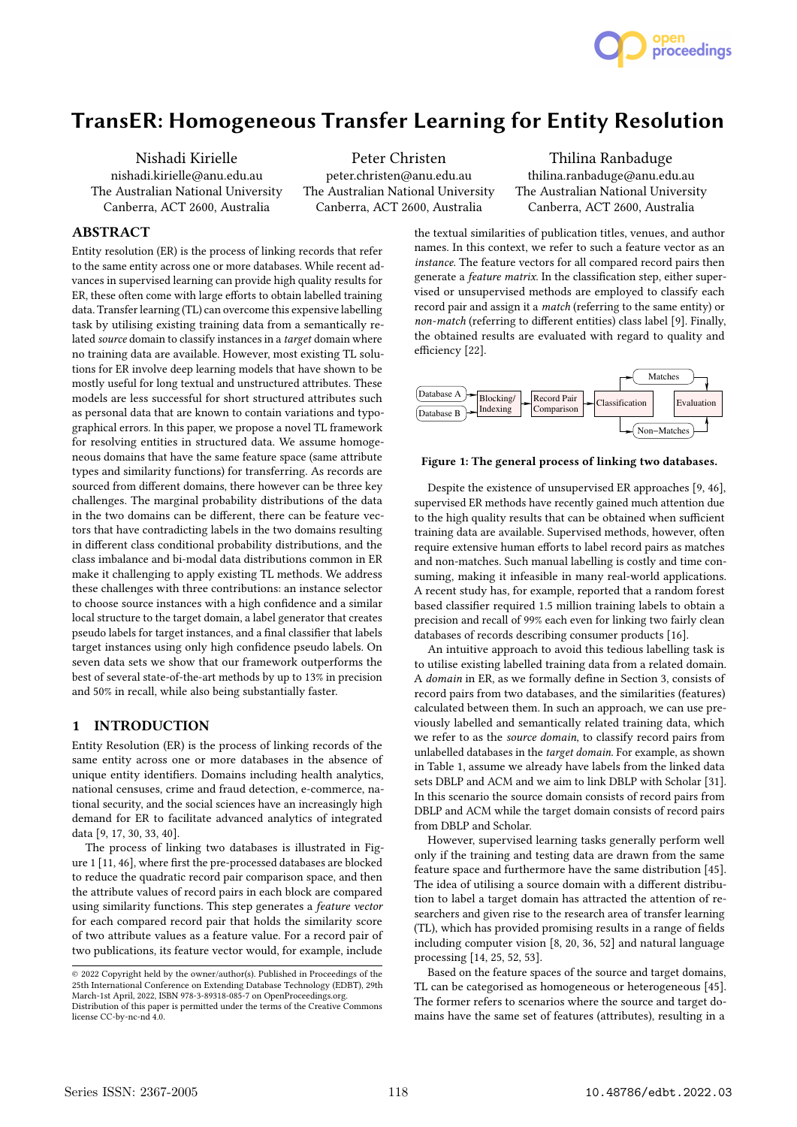

# TransER: Homogeneous Transfer Learning for Entity Resolution

Nishadi Kirielle nishadi.kirielle@anu.edu.au The Australian National University Canberra, ACT 2600, Australia

Peter Christen peter.christen@anu.edu.au The Australian National University Canberra, ACT 2600, Australia

Thilina Ranbaduge thilina.ranbaduge@anu.edu.au The Australian National University Canberra, ACT 2600, Australia

# ABSTRACT

Entity resolution (ER) is the process of linking records that refer to the same entity across one or more databases. While recent advances in supervised learning can provide high quality results for ER, these often come with large efforts to obtain labelled training data. Transfer learning (TL) can overcome this expensive labelling task by utilising existing training data from a semantically related source domain to classify instances in a target domain where no training data are available. However, most existing TL solutions for ER involve deep learning models that have shown to be mostly useful for long textual and unstructured attributes. These models are less successful for short structured attributes such as personal data that are known to contain variations and typographical errors. In this paper, we propose a novel TL framework for resolving entities in structured data. We assume homogeneous domains that have the same feature space (same attribute types and similarity functions) for transferring. As records are sourced from different domains, there however can be three key challenges. The marginal probability distributions of the data in the two domains can be different, there can be feature vectors that have contradicting labels in the two domains resulting in different class conditional probability distributions, and the class imbalance and bi-modal data distributions common in ER make it challenging to apply existing TL methods. We address these challenges with three contributions: an instance selector to choose source instances with a high confidence and a similar local structure to the target domain, a label generator that creates pseudo labels for target instances, and a final classifier that labels target instances using only high confidence pseudo labels. On seven data sets we show that our framework outperforms the best of several state-of-the-art methods by up to 13% in precision and 50% in recall, while also being substantially faster.

# 1 INTRODUCTION

Entity Resolution (ER) is the process of linking records of the same entity across one or more databases in the absence of unique entity identifiers. Domains including health analytics, national censuses, crime and fraud detection, e-commerce, national security, and the social sciences have an increasingly high demand for ER to facilitate advanced analytics of integrated data [9, 17, 30, 33, 40].

The process of linking two databases is illustrated in Figure 1 [11, 46], where first the pre-processed databases are blocked to reduce the quadratic record pair comparison space, and then the attribute values of record pairs in each block are compared using similarity functions. This step generates a feature vector for each compared record pair that holds the similarity score of two attribute values as a feature value. For a record pair of two publications, its feature vector would, for example, include

the textual similarities of publication titles, venues, and author names. In this context, we refer to such a feature vector as an instance. The feature vectors for all compared record pairs then generate a feature matrix. In the classification step, either supervised or unsupervised methods are employed to classify each record pair and assign it a match (referring to the same entity) or non-match (referring to different entities) class label [9]. Finally, the obtained results are evaluated with regard to quality and efficiency [22].



#### Figure 1: The general process of linking two databases.

Despite the existence of unsupervised ER approaches [9, 46], supervised ER methods have recently gained much attention due to the high quality results that can be obtained when sufficient training data are available. Supervised methods, however, often require extensive human efforts to label record pairs as matches and non-matches. Such manual labelling is costly and time consuming, making it infeasible in many real-world applications. A recent study has, for example, reported that a random forest based classifier required 1.5 million training labels to obtain a precision and recall of 99% each even for linking two fairly clean databases of records describing consumer products [16].

An intuitive approach to avoid this tedious labelling task is to utilise existing labelled training data from a related domain. A domain in ER, as we formally define in Section 3, consists of record pairs from two databases, and the similarities (features) calculated between them. In such an approach, we can use previously labelled and semantically related training data, which we refer to as the source domain, to classify record pairs from unlabelled databases in the target domain. For example, as shown in Table 1, assume we already have labels from the linked data sets DBLP and ACM and we aim to link DBLP with Scholar [31]. In this scenario the source domain consists of record pairs from DBLP and ACM while the target domain consists of record pairs from DBLP and Scholar.

However, supervised learning tasks generally perform well only if the training and testing data are drawn from the same feature space and furthermore have the same distribution [45]. The idea of utilising a source domain with a different distribution to label a target domain has attracted the attention of researchers and given rise to the research area of transfer learning (TL), which has provided promising results in a range of fields including computer vision [8, 20, 36, 52] and natural language processing [14, 25, 52, 53].

Based on the feature spaces of the source and target domains, TL can be categorised as homogeneous or heterogeneous [45]. The former refers to scenarios where the source and target domains have the same set of features (attributes), resulting in a

<sup>©</sup> 2022 Copyright held by the owner/author(s). Published in Proceedings of the 25th International Conference on Extending Database Technology (EDBT), 29th March-1st April, 2022, ISBN 978-3-89318-085-7 on OpenProceedings.org.

Distribution of this paper is permitted under the terms of the Creative Commons license CC-by-nc-nd 4.0.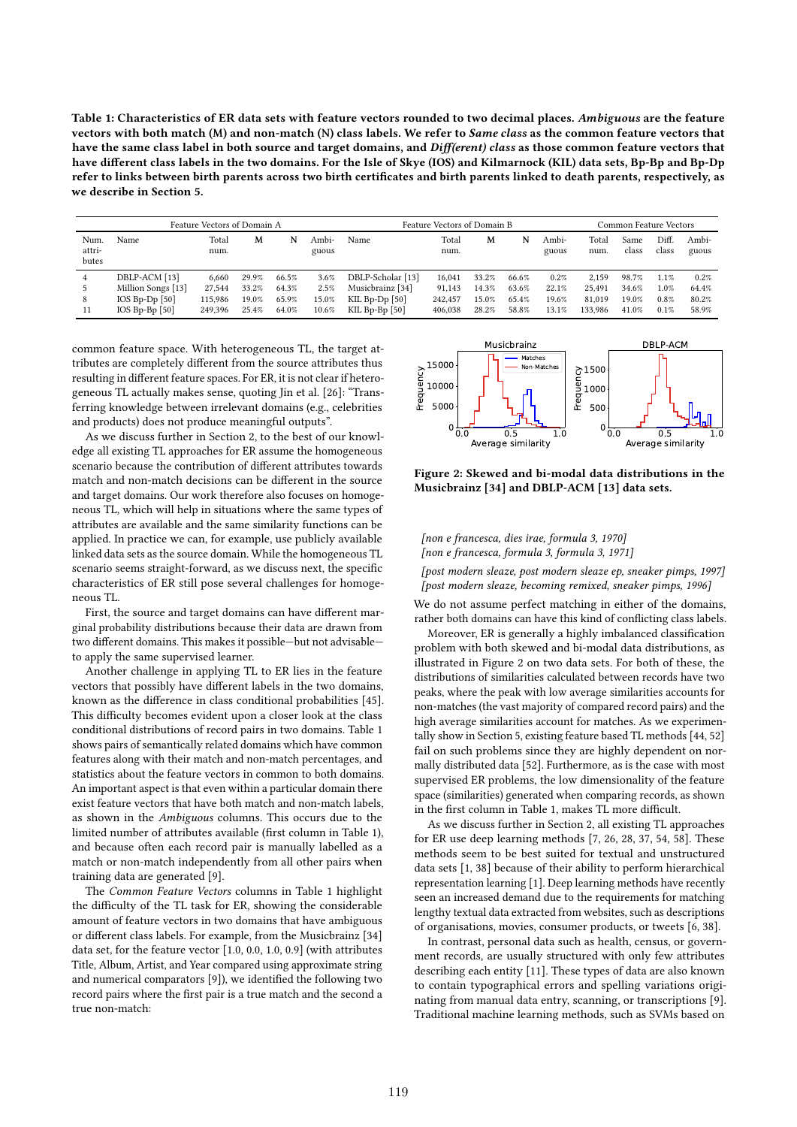Table 1: Characteristics of ER data sets with feature vectors rounded to two decimal places. Ambiguous are the feature vectors with both match (M) and non-match (N) class labels. We refer to Same class as the common feature vectors that have the same class label in both source and target domains, and Diff(erent) class as those common feature vectors that have different class labels in the two domains. For the Isle of Skye (IOS) and Kilmarnock (KIL) data sets, Bp-Bp and Bp-Dp refer to links between birth parents across two birth certificates and birth parents linked to death parents, respectively, as we describe in Section 5.

| Feature Vectors of Domain A |                          |               |       |       |                | Feature Vectors of Domain B |               |       |       |                | Common Feature Vectors |               |               |                |
|-----------------------------|--------------------------|---------------|-------|-------|----------------|-----------------------------|---------------|-------|-------|----------------|------------------------|---------------|---------------|----------------|
| Num.<br>attri-<br>butes     | Name                     | Total<br>num. | M     | N     | Ambi-<br>guous | Name                        | Total<br>num. | M     | N     | Ambi-<br>guous | Total<br>num.          | Same<br>class | Diff<br>class | Ambi-<br>guous |
| 4                           | DBLP-ACM [13]            | 6.660         | 29.9% | 66.5% | $3.6\%$        | DBLP-Scholar [13]           | 16.041        | 33.2% | 66.6% | 0.2%           | 2.159                  | 98.7%         | 1.1%          | 0.2%           |
|                             | Million Songs [13]       | 27.544        | 33.2% | 64.3% | 2.5%           | Musicbrainz [34]            | 91.143        | 14.3% | 63.6% | 22.1%          | 25.491                 | 34.6%         | 1.0%          | 64.4%          |
| 8                           | IOS Bp-Dp $[50]$         | 115.986       | 19.0% | 65.9% | 15.0%          | KIL Bp-Dp $[50]$            | 242.457       | 15.0% | 65.4% | 19.6%          | 81.019                 | 19.0%         | 0.8%          | 80.2%          |
| 11                          | $IOS$ $Bp$ - $Bp$ $[50]$ | 249.396       | 25.4% | 64.0% | 10.6%          | KIL Bp-Bp $[50]$            | 406.038       | 28.2% | 58.8% | 13.1%          | 133.986                | 41.0%         | 0.1%          | 58.9%          |

common feature space. With heterogeneous TL, the target attributes are completely different from the source attributes thus resulting in different feature spaces. For ER, it is not clear if heterogeneous TL actually makes sense, quoting Jin et al. [26]: "Transferring knowledge between irrelevant domains (e.g., celebrities and products) does not produce meaningful outputs".

As we discuss further in Section 2, to the best of our knowledge all existing TL approaches for ER assume the homogeneous scenario because the contribution of different attributes towards match and non-match decisions can be different in the source and target domains. Our work therefore also focuses on homogeneous TL, which will help in situations where the same types of attributes are available and the same similarity functions can be applied. In practice we can, for example, use publicly available linked data sets as the source domain. While the homogeneous TL scenario seems straight-forward, as we discuss next, the specific characteristics of ER still pose several challenges for homogeneous TL.

First, the source and target domains can have different marginal probability distributions because their data are drawn from two different domains. This makes it possible—but not advisable to apply the same supervised learner.

Another challenge in applying TL to ER lies in the feature vectors that possibly have different labels in the two domains, known as the difference in class conditional probabilities [45]. This difficulty becomes evident upon a closer look at the class conditional distributions of record pairs in two domains. Table 1 shows pairs of semantically related domains which have common features along with their match and non-match percentages, and statistics about the feature vectors in common to both domains. An important aspect is that even within a particular domain there exist feature vectors that have both match and non-match labels, as shown in the Ambiguous columns. This occurs due to the limited number of attributes available (first column in Table 1), and because often each record pair is manually labelled as a match or non-match independently from all other pairs when training data are generated [9].

The Common Feature Vectors columns in Table 1 highlight the difficulty of the TL task for ER, showing the considerable amount of feature vectors in two domains that have ambiguous or different class labels. For example, from the Musicbrainz [34] data set, for the feature vector [1.0, 0.0, 1.0, 0.9] (with attributes Title, Album, Artist, and Year compared using approximate string and numerical comparators [9]), we identified the following two record pairs where the first pair is a true match and the second a true non-match:



Figure 2: Skewed and bi-modal data distributions in the Musicbrainz [34] and DBLP-ACM [13] data sets.

[non e francesca, dies irae, formula 3, 1970] [non e francesca, formula 3, formula 3, 1971]

[post modern sleaze, post modern sleaze ep, sneaker pimps, 1997]

[post modern sleaze, becoming remixed, sneaker pimps, 1996]

We do not assume perfect matching in either of the domains, rather both domains can have this kind of conflicting class labels.

Moreover, ER is generally a highly imbalanced classification problem with both skewed and bi-modal data distributions, as illustrated in Figure 2 on two data sets. For both of these, the distributions of similarities calculated between records have two peaks, where the peak with low average similarities accounts for non-matches (the vast majority of compared record pairs) and the high average similarities account for matches. As we experimentally show in Section 5, existing feature based TL methods [44, 52] fail on such problems since they are highly dependent on normally distributed data [52]. Furthermore, as is the case with most supervised ER problems, the low dimensionality of the feature space (similarities) generated when comparing records, as shown in the first column in Table 1, makes TL more difficult.

As we discuss further in Section 2, all existing TL approaches for ER use deep learning methods [7, 26, 28, 37, 54, 58]. These methods seem to be best suited for textual and unstructured data sets [1, 38] because of their ability to perform hierarchical representation learning [1]. Deep learning methods have recently seen an increased demand due to the requirements for matching lengthy textual data extracted from websites, such as descriptions of organisations, movies, consumer products, or tweets [6, 38].

In contrast, personal data such as health, census, or government records, are usually structured with only few attributes describing each entity [11]. These types of data are also known to contain typographical errors and spelling variations originating from manual data entry, scanning, or transcriptions [9]. Traditional machine learning methods, such as SVMs based on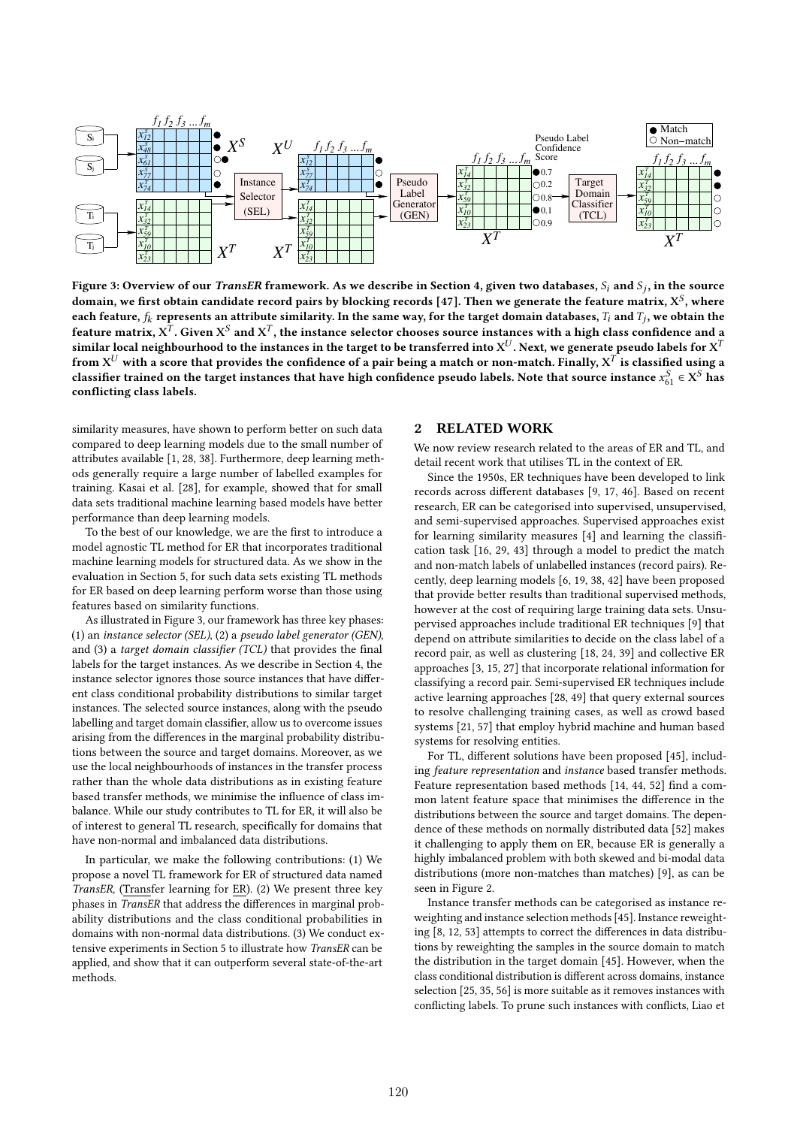

Figure 3: Overview of our *TransER* framework. As we describe in Section 4, given two databases,  $S_i$  and  $S_j$ , in the source domain, we first obtain candidate record pairs by blocking records [47]. Then we generate the feature matrix,  $X^S$ , where each feature,  $f_k$  represents an attribute similarity. In the same way, for the target domain databases,  $T_i$  and  $T_j$ , we obtain the feature matrix,  $\mathrm{\textbf{X}}^T$ . Given  $\mathrm{\textbf{X}}^S$  and  $\mathrm{\textbf{X}}^T$ , the instance selector chooses source instances with a high class confidence and a similar local neighbourhood to the instances in the target to be transferred into  $\mathrm{X}^U$ . Next, we generate pseudo labels for  $\mathrm{X}^T$ from  $X^U$  with a score that provides the confidence of a pair being a match or non-match. Finally,  $X^T$  is classified using a classifier trained on the target instances that have high confidence pseudo labels. Note that source instance  $x_{61}^S \in X^S$  has conflicting class labels.

similarity measures, have shown to perform better on such data compared to deep learning models due to the small number of attributes available [1, 28, 38]. Furthermore, deep learning methods generally require a large number of labelled examples for training. Kasai et al. [28], for example, showed that for small data sets traditional machine learning based models have better performance than deep learning models.

To the best of our knowledge, we are the first to introduce a model agnostic TL method for ER that incorporates traditional machine learning models for structured data. As we show in the evaluation in Section 5, for such data sets existing TL methods for ER based on deep learning perform worse than those using features based on similarity functions.

As illustrated in Figure 3, our framework has three key phases: (1) an instance selector (SEL), (2) a pseudo label generator (GEN), and (3) a target domain classifier (TCL) that provides the final labels for the target instances. As we describe in Section 4, the instance selector ignores those source instances that have different class conditional probability distributions to similar target instances. The selected source instances, along with the pseudo labelling and target domain classifier, allow us to overcome issues arising from the differences in the marginal probability distributions between the source and target domains. Moreover, as we use the local neighbourhoods of instances in the transfer process rather than the whole data distributions as in existing feature based transfer methods, we minimise the influence of class imbalance. While our study contributes to TL for ER, it will also be of interest to general TL research, specifically for domains that have non-normal and imbalanced data distributions.

In particular, we make the following contributions: (1) We propose a novel TL framework for ER of structured data named TransER, (Transfer learning for ER). (2) We present three key phases in TransER that address the differences in marginal probability distributions and the class conditional probabilities in domains with non-normal data distributions. (3) We conduct extensive experiments in Section 5 to illustrate how TransER can be applied, and show that it can outperform several state-of-the-art methods.

### 2 RELATED WORK

We now review research related to the areas of ER and TL, and detail recent work that utilises TL in the context of ER.

Since the 1950s, ER techniques have been developed to link records across different databases [9, 17, 46]. Based on recent research, ER can be categorised into supervised, unsupervised, and semi-supervised approaches. Supervised approaches exist for learning similarity measures [4] and learning the classification task [16, 29, 43] through a model to predict the match and non-match labels of unlabelled instances (record pairs). Recently, deep learning models [6, 19, 38, 42] have been proposed that provide better results than traditional supervised methods, however at the cost of requiring large training data sets. Unsupervised approaches include traditional ER techniques [9] that depend on attribute similarities to decide on the class label of a record pair, as well as clustering [18, 24, 39] and collective ER approaches [3, 15, 27] that incorporate relational information for classifying a record pair. Semi-supervised ER techniques include active learning approaches [28, 49] that query external sources to resolve challenging training cases, as well as crowd based systems [21, 57] that employ hybrid machine and human based systems for resolving entities.

For TL, different solutions have been proposed [45], including feature representation and instance based transfer methods. Feature representation based methods [14, 44, 52] find a common latent feature space that minimises the difference in the distributions between the source and target domains. The dependence of these methods on normally distributed data [52] makes it challenging to apply them on ER, because ER is generally a highly imbalanced problem with both skewed and bi-modal data distributions (more non-matches than matches) [9], as can be seen in Figure 2.

Instance transfer methods can be categorised as instance reweighting and instance selection methods [45]. Instance reweighting [8, 12, 53] attempts to correct the differences in data distributions by reweighting the samples in the source domain to match the distribution in the target domain [45]. However, when the class conditional distribution is different across domains, instance selection [25, 35, 56] is more suitable as it removes instances with conflicting labels. To prune such instances with conflicts, Liao et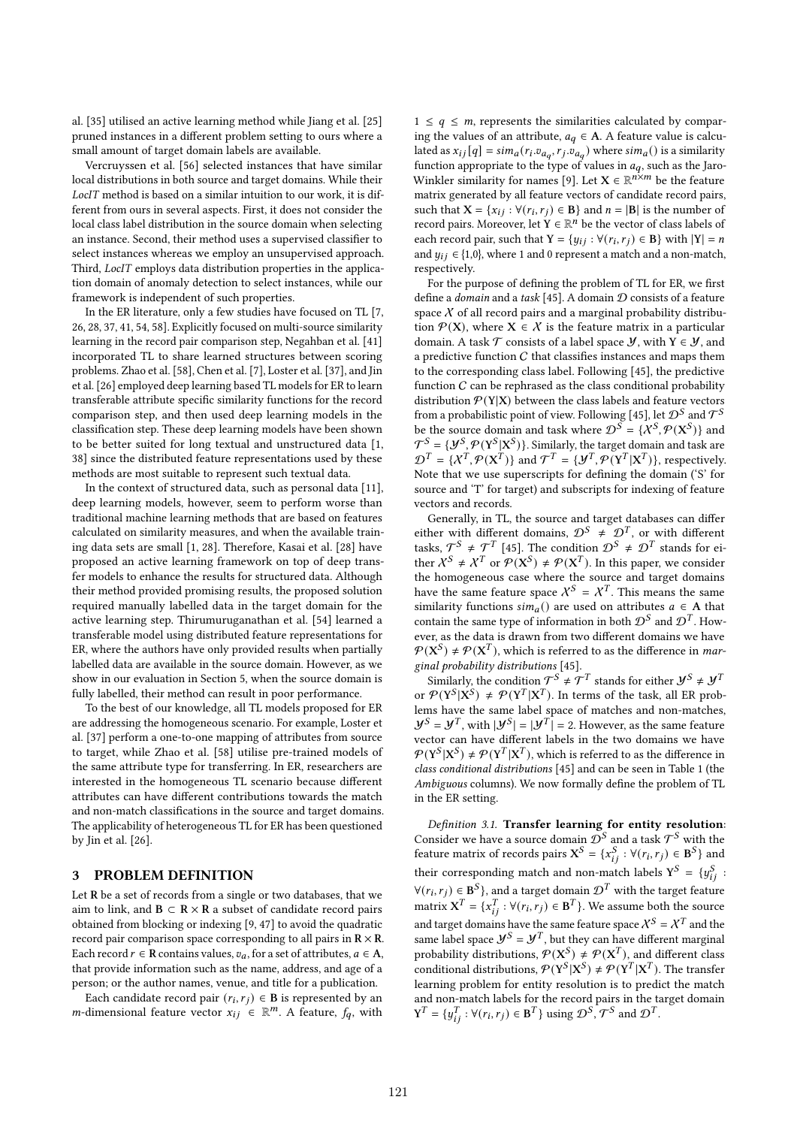al. [35] utilised an active learning method while Jiang et al. [25] pruned instances in a different problem setting to ours where a small amount of target domain labels are available.

Vercruyssen et al. [56] selected instances that have similar local distributions in both source and target domains. While their LocIT method is based on a similar intuition to our work, it is different from ours in several aspects. First, it does not consider the local class label distribution in the source domain when selecting an instance. Second, their method uses a supervised classifier to select instances whereas we employ an unsupervised approach. Third, LocIT employs data distribution properties in the application domain of anomaly detection to select instances, while our framework is independent of such properties.

In the ER literature, only a few studies have focused on TL [7, 26, 28, 37, 41, 54, 58]. Explicitly focused on multi-source similarity learning in the record pair comparison step, Negahban et al. [41] incorporated TL to share learned structures between scoring problems. Zhao et al. [58], Chen et al. [7], Loster et al. [37], and Jin et al. [26] employed deep learning based TL models for ER to learn transferable attribute specific similarity functions for the record comparison step, and then used deep learning models in the classification step. These deep learning models have been shown to be better suited for long textual and unstructured data [1, 38] since the distributed feature representations used by these methods are most suitable to represent such textual data.

In the context of structured data, such as personal data [11], deep learning models, however, seem to perform worse than traditional machine learning methods that are based on features calculated on similarity measures, and when the available training data sets are small [1, 28]. Therefore, Kasai et al. [28] have proposed an active learning framework on top of deep transfer models to enhance the results for structured data. Although their method provided promising results, the proposed solution required manually labelled data in the target domain for the active learning step. Thirumuruganathan et al. [54] learned a transferable model using distributed feature representations for ER, where the authors have only provided results when partially labelled data are available in the source domain. However, as we show in our evaluation in Section 5, when the source domain is fully labelled, their method can result in poor performance.

To the best of our knowledge, all TL models proposed for ER are addressing the homogeneous scenario. For example, Loster et al. [37] perform a one-to-one mapping of attributes from source to target, while Zhao et al. [58] utilise pre-trained models of the same attribute type for transferring. In ER, researchers are interested in the homogeneous TL scenario because different attributes can have different contributions towards the match and non-match classifications in the source and target domains. The applicability of heterogeneous TL for ER has been questioned by Jin et al. [26].

# 3 PROBLEM DEFINITION

Let R be a set of records from a single or two databases, that we aim to link, and  $B \subset R \times R$  a subset of candidate record pairs obtained from blocking or indexing [9, 47] to avoid the quadratic record pair comparison space corresponding to all pairs in  $R \times R$ . Each record  $r \in \mathbb{R}$  contains values,  $v_a$ , for a set of attributes,  $a \in \mathbb{A}$ , that provide information such as the name, address, and age of a person; or the author names, venue, and title for a publication.

Each candidate record pair  $(r_i, r_j) \in B$  is represented by an *m*-dimensional feature vector  $x_{ij} \in \mathbb{R}^m$ . A feature,  $f_q$ , with

 $1 \leq q \leq m$ , represents the similarities calculated by comparing the values of an attribute,  $a_q \in A$ . A feature value is calculated as  $x_{ij}[q] = \frac{sim_a(r_i.v_{a_q}, r_j.v_{a_q})}{sim_a}$  where  $sim_a()$  is a similarity function appropriate to the type of values in  $a<sub>q</sub>$ , such as the Jaro-Winkler similarity for names [9]. Let  $X \in \mathbb{R}^{n \times m}$  be the feature matrix generated by all feature vectors of candidate record pairs, such that  $X = \{x_{ij} : \forall (r_i, r_j) \in B\}$  and  $n = |B|$  is the number of record pairs. Moreover, let  $Y \in \mathbb{R}^n$  be the vector of class labels of each record pair, such that  $Y = \{y_{ij} : \forall (r_i, r_j) \in B\}$  with  $|Y| = n$ and  $y_{ij} \in \{1,0\}$ , where 1 and 0 represent a match and a non-match, respectively.

For the purpose of defining the problem of TL for ER, we first define a domain and a task [45]. A domain  $D$  consists of a feature space  $X$  of all record pairs and a marginal probability distribution  $P(X)$ , where  $X \in \mathcal{X}$  is the feature matrix in a particular domain. A task  $\mathcal T$  consists of a label space  $\mathcal Y$ , with  $Y \in \mathcal Y$ , and a predictive function  $C$  that classifies instances and maps them to the corresponding class label. Following [45], the predictive function  $C$  can be rephrased as the class conditional probability distribution  $\mathcal{P}(Y|X)$  between the class labels and feature vectors from a probabilistic point of view. Following [45], let  $\mathcal{D}^S$  and  $\mathcal{T}^S$ be the source domain and task where  $\mathcal{D}^S = \{X^S, \mathcal{P}(\mathbf{X}^S)\}\$  and  $\mathcal{T}^S = \{ \mathcal{Y}^S, \mathcal{P}(\text{Y}^S|\text{X}^S) \}$ . Similarly, the target domain and task are  $\mathcal{D}^T = \{X^T, \mathcal{P}(X^T)\}\$  and  $\mathcal{T}^T = \{Y^T, \mathcal{P}(Y^T|X^T)\}\$ , respectively. Note that we use superscripts for defining the domain ('S' for source and 'T' for target) and subscripts for indexing of feature vectors and records.

Generally, in TL, the source and target databases can differ either with different domains,  $\mathcal{D}^{S} \neq \mathcal{D}^{T}$ , or with different tasks,  $\mathcal{T}^S \neq \mathcal{T}^T$  [45]. The condition  $\mathcal{D}^S \neq \mathcal{D}^T$  stands for either  $X^S \neq X^T$  or  $\mathcal{P}(X^S) \neq \mathcal{P}(X^T)$ . In this paper, we consider the homogeneous case where the source and target domains have the same feature space  $X^S = X^T$ . This means the same similarity functions  $\sinh_a()$  are used on attributes  $a \in A$  that contain the same type of information in both  $\mathcal{D}^S$  and  $\mathcal{D}^T$ . However, as the data is drawn from two different domains we have  $\mathcal{P}(\mathbf{X}^S) \neq \mathcal{P}(\mathbf{X}^T)$ , which is referred to as the difference in *mar*ginal probability distributions [45].

Similarly, the condition  $\mathcal{T}^S \neq \mathcal{T}^T$  stands for either  $\mathcal{Y}^S \neq \mathcal{Y}^T$ or  $\mathcal{P}(Y^{S} | X^{S}) \neq \mathcal{P}(Y^{T} | X^{T})$ . In terms of the task, all ER problems have the same label space of matches and non-matches,  $J^S = J^T$ , with  $|J^S| = |J^T| = 2$ . However, as the same feature vector can have different labels in the two domains we have  $\mathcal{P}(Y^S|X^S) \neq \mathcal{P}(Y^T|X^T)$ , which is referred to as the difference in class conditional distributions [45] and can be seen in Table 1 (the Ambiguous columns). We now formally define the problem of TL in the ER setting.

Definition 3.1. Transfer learning for entity resolution: Consider we have a source domain  $\mathcal{D}^S$  and a task  $\mathcal{T}^S$  with the feature matrix of records pairs  $X^S = \{x_{ij}^S : \forall (r_i, r_j) \in B^S\}$  and their corresponding match and non-match labels  $Y^S = \{y_{ij}^S\}$  $\forall (r_i, r_j) \in \mathbf{B}^S$ , and a target domain  $\mathcal{D}^T$  with the target feature matrix  $X^T = \{x_{ij}^T : \forall (r_i, r_j) \in \mathbf{B}^T\}$ . We assume both the source and target domains have the same feature space  $X^S = X^T$  and the same label space  $\mathcal{Y}^S = \mathcal{Y}^T$ , but they can have different marginal probability distributions,  $\mathcal{P}(X^S) \neq \mathcal{P}(X^T)$ , and different class conditional distributions,  $\mathcal{P}(Y^{S}|X^{S}) \neq \mathcal{P}(Y^{T}|X^{T})$ . The transfer learning problem for entity resolution is to predict the match and non-match labels for the record pairs in the target domain  $\mathbf{Y}^T = \{y_{ij}^T : \forall (r_i, r_j) \in \mathbf{B}^T\}$  using  $\mathcal{D}^S, \mathcal{T}^S$  and  $\mathcal{D}^T$ .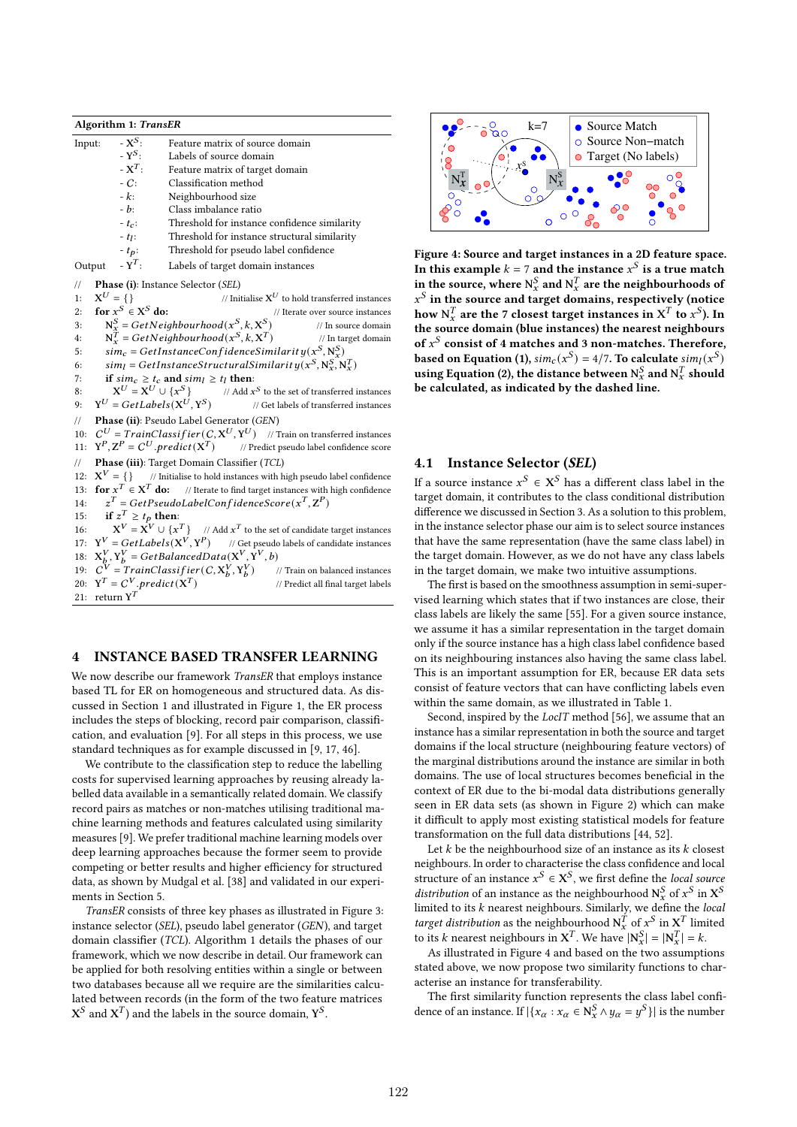Algorithm 1: TransER Input:  $\overline{X}^S$ : Feature matrix of source domain  $-Y^S$ Labels of source domain -  $X^T$ : : Feature matrix of target domain -  $C$ : Classification method<br>-  $k$ : Neighbourhood size Neighbourhood size  $-b$ : Class imbalance ratio  $-t_c$ : Threshold for instance confidence similarity  $-t_{l}$ : : Threshold for instance structural similarity -  $t_p$ : Threshold for pseudo label confidence<br>-  $\mathbf{Y}^T$ : Labels of target domain instances Output Labels of target domain instances // Phase (i): Instance Selector (SEL) 1:  $X^U = \{\}$  $U = \{\}$  // Initialise  $X^U$  to hold transferred instances 2: for  $x^S \in X$ // Iterate over source instances 3:  $N_x^S = GetNeighbourhood(x^S, k, X^S)$ ) // In source domain 4:  $N_x^{\hat{T}} = GetNeighbourhood(x^S, k, X)$  ) // In target domain 5:  $\sin c = GetInstanceConfidenceSimilarity(x^S, N_x^S)$ 6:  $\sinh_l = \text{GetInstanceStructural Similarity}(x^S, N_x^S, N_x^T)$ 7: if  $\sin c \geq t_c$  and  $\sin t \geq t_l$  then: 8:  $X^U = X^U \cup \{x^S\}$ } // Add  $x^S$  to the set of transferred instances 9:  $Y^U = GetLabels(X^U, Y^S)$ ) // Get labels of transferred instances // Phase (ii): Pseudo Label Generator (GEN) 10:  $C^U = TrainClassifier(C, X^U, Y^U)$  // Train on transferred instances 11:  $Y^P, Z^P = C^U$ . predict(X ) // Predict pseudo label confidence score // Phase (iii): Target Domain Classifier (TCL)  $12:$  $\mathbf{X}^V = \{\}$  // Initialise to hold instances with high pseudo label confidence 13: **for**  $x^T \in X^T$  **do:** // Iterate to find target instances with high confidence 14:  $x^T = GetPseudoLabelConfigidenceScore(x^T, \mathbf{Z}^P)$ 15: if  $z^T \ge t_p$  then: 16:  $X^V = X^V \cup \{x$  $\left\{ T \right\}$  // Add  $x^T$  to the set of candidate target instances 17:  $Y^V = GetLabels(X^V, Y^P)$  // Get pseudo labels of candidate instances 18:  $X_b^V, Y_b^V = GetBalancedData(X^V, \hat{Y}^V, b)$ 19:  $C^{V} = TrainClassifier(C, X_{b}^{V}, Y_{b}^{V})$ ) // Train on balanced instances 20:  $Y^T = C^V$ . predict(X) ) // Predict all final target labels 21: return  $Y^T$ 

# 4 INSTANCE BASED TRANSFER LEARNING

We now describe our framework TransER that employs instance based TL for ER on homogeneous and structured data. As discussed in Section 1 and illustrated in Figure 1, the ER process includes the steps of blocking, record pair comparison, classification, and evaluation [9]. For all steps in this process, we use standard techniques as for example discussed in [9, 17, 46].

We contribute to the classification step to reduce the labelling costs for supervised learning approaches by reusing already labelled data available in a semantically related domain. We classify record pairs as matches or non-matches utilising traditional machine learning methods and features calculated using similarity measures [9]. We prefer traditional machine learning models over deep learning approaches because the former seem to provide competing or better results and higher efficiency for structured data, as shown by Mudgal et al. [38] and validated in our experiments in Section 5.

TransER consists of three key phases as illustrated in Figure 3: instance selector (SEL), pseudo label generator (GEN), and target domain classifier (TCL). Algorithm 1 details the phases of our framework, which we now describe in detail. Our framework can be applied for both resolving entities within a single or between two databases because all we require are the similarities calculated between records (in the form of the two feature matrices  $X^S$  and  $X^T$ ) and the labels in the source domain,  $Y^S$ .



Figure 4: Source and target instances in a 2D feature space. In this example  $k = 7$  and the instance  $x^S$  is a true match in the source, where  $N_x^S$  and  $N_x^T$  are the neighbourhoods of  $x^S$  in the source and target domains, respectively (notice how  $N_x^T$  are the 7 closest target instances in  $X^T$  to  $x^S$ ). In the source domain (blue instances) the nearest neighbours of  $x^S$  consist of 4 matches and 3 non-matches. Therefore, based on Equation (1),  $\text{sim}_c(x^S) = 4/7$ . To calculate  $\text{sim}_l(x^S)$ using Equation (2), the distance between  $N_x^S$  and  $N_x^T$  should be calculated, as indicated by the dashed line.

### 4.1 Instance Selector (SEL)

If a source instance  $x^S \in X^S$  has a different class label in the target domain, it contributes to the class conditional distribution difference we discussed in Section 3. As a solution to this problem, in the instance selector phase our aim is to select source instances that have the same representation (have the same class label) in the target domain. However, as we do not have any class labels in the target domain, we make two intuitive assumptions.

The first is based on the smoothness assumption in semi-supervised learning which states that if two instances are close, their class labels are likely the same [55]. For a given source instance, we assume it has a similar representation in the target domain only if the source instance has a high class label confidence based on its neighbouring instances also having the same class label. This is an important assumption for ER, because ER data sets consist of feature vectors that can have conflicting labels even within the same domain, as we illustrated in Table 1.

Second, inspired by the *LocIT* method [56], we assume that an instance has a similar representation in both the source and target domains if the local structure (neighbouring feature vectors) of the marginal distributions around the instance are similar in both domains. The use of local structures becomes beneficial in the context of ER due to the bi-modal data distributions generally seen in ER data sets (as shown in Figure 2) which can make it difficult to apply most existing statistical models for feature transformation on the full data distributions [44, 52].

Let  $k$  be the neighbourhood size of an instance as its  $k$  closest neighbours. In order to characterise the class confidence and local structure of an instance  $x^S \in X^S$ , we first define the *local source* distribution of an instance as the neighbourhood  $N_x^S$  of  $x^S$  in  $X^S$ limited to its  $k$  nearest neighbours. Similarly, we define the local target distribution as the neighbourhood  $N_x^T$  of  $x^S$  in  $X^T$  limited to its k nearest neighbours in  $X^T$ . We have  $|N_x^S| = |N_x^T| = k$ .

As illustrated in Figure 4 and based on the two assumptions stated above, we now propose two similarity functions to characterise an instance for transferability.

The first similarity function represents the class label confidence of an instance. If  $|\{x_\alpha : x_\alpha \in \mathbb{N}_x^S \wedge y_\alpha = y^S\}|$  is the number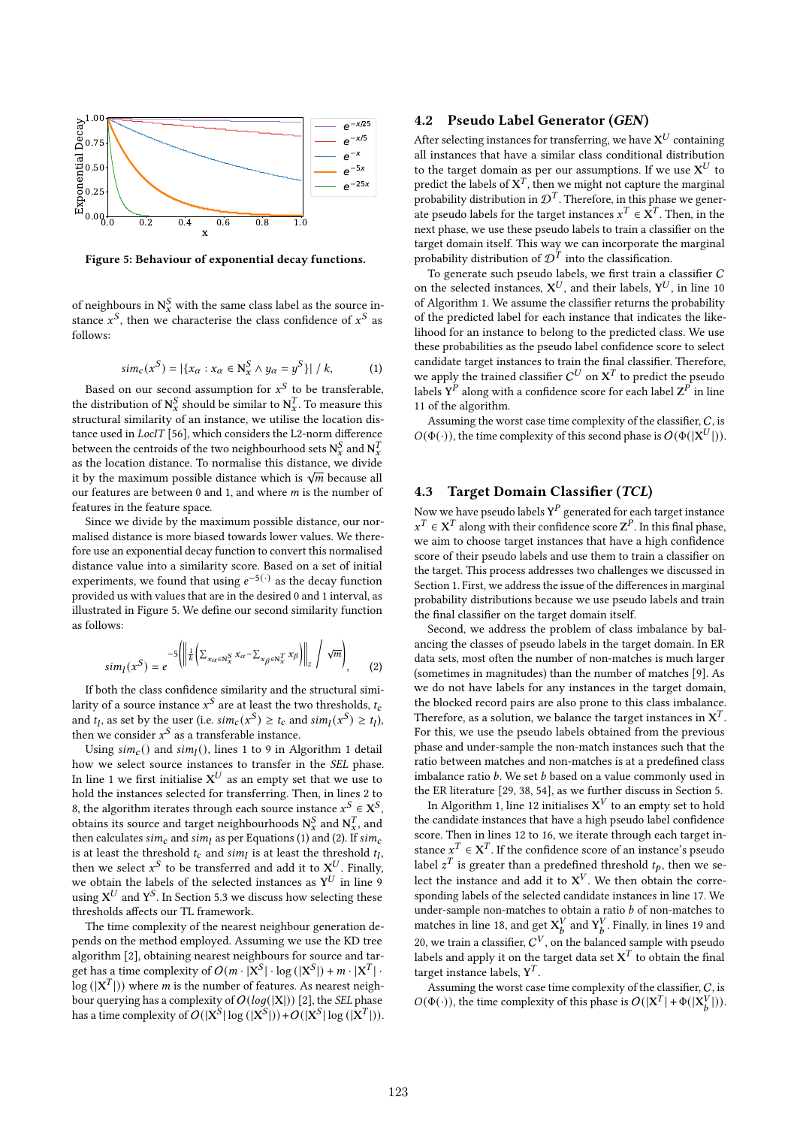

Figure 5: Behaviour of exponential decay functions.

of neighbours in  $\mathbf{N}^S_{\mathbf{x}}$  with the same class label as the source instance  $x^S$ , then we characterise the class confidence of  $x^S$  as follows:

$$
sim_c(x^S) = |\{x_{\alpha} : x_{\alpha} \in \mathbb{N}_x^S \land y_{\alpha} = y^S\}| / k, \tag{1}
$$

Based on our second assumption for  $x^S$  to be transferable, the distribution of  $N_x^S$  should be similar to  $N_x^T$ . To measure this structural similarity of an instance, we utilise the location distance used in LocIT [56], which considers the L2-norm difference between the centroids of the two neighbourhood sets  $N_x^S$  and  $N_x^T$ as the location distance. To normalise this distance, we divide as the location distance. To hormalise this distance, we divide<br>it by the maximum possible distance which is  $\sqrt{m}$  because all our features are between  $0$  and  $1$ , and where  $m$  is the number of features in the feature space.

Since we divide by the maximum possible distance, our normalised distance is more biased towards lower values. We therefore use an exponential decay function to convert this normalised distance value into a similarity score. Based on a set of initial experiments, we found that using  $e^{-5(\cdot)}$  as the decay function provided us with values that are in the desired 0 and 1 interval, as illustrated in Figure 5. We define our second similarity function as follows:

$$
sim_{l}(x^{S}) = e^{-5\left(\left\|\frac{1}{k}\left(\sum_{x_{\alpha}\in\mathbb{N}_{x}^{S}}x_{\alpha}-\sum_{x_{\beta}\in\mathbb{N}_{x}^{T}}x_{\beta}\right)\right\|_{2}\right/\sqrt{m}\right)}.
$$
 (2)

If both the class confidence similarity and the structural similarity of a source instance  $x^S$  are at least the two thresholds,  $t_c$ and  $t_l$ , as set by the user (i.e.  $\text{sim}_c(x^S) \ge t_c$  and  $\text{sim}_l(x^S) \ge t_l$ ), then we consider  $x^S$  as a transferable instance.

Using  $sim_c()$  and  $sim_l()$ , lines 1 to 9 in Algorithm 1 detail how we select source instances to transfer in the SEL phase. In line 1 we first initialise  $X^U$  as an empty set that we use to hold the instances selected for transferring. Then, in lines 2 to 8, the algorithm iterates through each source instance  $x^S \in X^S$ , obtains its source and target neighbourhoods  $N_x^S$  and  $N_x^T$ , and then calculates  $sim_c$  and  $sim_l$  as per Equations (1) and (2). If  $sim_c$ is at least the threshold  $t_c$  and  $\sin\eta$  is at least the threshold  $t_l$ , then we select  $x^S$  to be transferred and add it to  $X^U$ . Finally, we obtain the labels of the selected instances as  $Y^U$  in line 9 using  $\mathbf{X}^U$  and  $\mathbf{Y}^S$ . In Section 5.3 we discuss how selecting these thresholds affects our TL framework.

The time complexity of the nearest neighbour generation depends on the method employed. Assuming we use the KD tree algorithm [2], obtaining nearest neighbours for source and target has a time complexity of  $O(m \cdot |X^S| \cdot \log(|X^S|) + m \cdot |X^T|$ .  $\log (|\mathbf{X}^{T}|)$ ) where *m* is the number of features. As nearest neighbour querying has a complexity of  $O(log(|X|))$  [2], the *SEL* phase has a time complexity of  $O(|X^S| \log (|X^S|)) + O(|X^S| \log (|X^T|)).$ 

# 4.2 Pseudo Label Generator (GEN)

After selecting instances for transferring, we have  $\mathbf{X}^U$  containing all instances that have a similar class conditional distribution to the target domain as per our assumptions. If we use  $\mathbf{X}^U$  to predict the labels of  $X^T$ , then we might not capture the marginal probability distribution in  $\mathcal{D}^{T}$ . Therefore, in this phase we generate pseudo labels for the target instances  $x^T \in \mathbf{X}^T$ . Then, in the next phase, we use these pseudo labels to train a classifier on the target domain itself. This way we can incorporate the marginal probability distribution of  $\mathcal{D}^{\mathcal{T}}$  into the classification.

To generate such pseudo labels, we first train a classifier C on the selected instances,  $X^U$ , and their labels,  $Y^U$ , in line 10 of Algorithm 1. We assume the classifier returns the probability of the predicted label for each instance that indicates the likelihood for an instance to belong to the predicted class. We use these probabilities as the pseudo label confidence score to select candidate target instances to train the final classifier. Therefore, we apply the trained classifier  $C^U$  on  $X^T$  to predict the pseudo labels  $Y^{\hat{P}}$  along with a confidence score for each label  $Z^{\hat{P}}$  in line 11 of the algorithm.

Assuming the worst case time complexity of the classifier, C, is  $O(\Phi(\cdot))$ , the time complexity of this second phase is  $O(\Phi(|\mathbf{X}^{U}|))$ .

# 4.3 Target Domain Classifier (TCL)

Now we have pseudo labels  $Y^P$  generated for each target instance  $x^T \in X^T$  along with their confidence score  $Z^P$ . In this final phase, we aim to choose target instances that have a high confidence score of their pseudo labels and use them to train a classifier on the target. This process addresses two challenges we discussed in Section 1. First, we address the issue of the differences in marginal probability distributions because we use pseudo labels and train the final classifier on the target domain itself.

Second, we address the problem of class imbalance by balancing the classes of pseudo labels in the target domain. In ER data sets, most often the number of non-matches is much larger (sometimes in magnitudes) than the number of matches [9]. As we do not have labels for any instances in the target domain, the blocked record pairs are also prone to this class imbalance. Therefore, as a solution, we balance the target instances in  $X^T$ . For this, we use the pseudo labels obtained from the previous phase and under-sample the non-match instances such that the ratio between matches and non-matches is at a predefined class imbalance ratio  $b$ . We set  $b$  based on a value commonly used in the ER literature [29, 38, 54], as we further discuss in Section 5.

In Algorithm 1, line 12 initialises  $X^V$  to an empty set to hold the candidate instances that have a high pseudo label confidence score. Then in lines 12 to 16, we iterate through each target instance  $x^T \in X^T$ . If the confidence score of an instance's pseudo label  $z^T$  is greater than a predefined threshold  $t_p$ , then we select the instance and add it to  $X^V$ . We then obtain the corresponding labels of the selected candidate instances in line 17. We under-sample non-matches to obtain a ratio  $b$  of non-matches to matches in line 18, and get  $X_b^V$  and  $Y_b^V$ . Finally, in lines 19 and 20, we train a classifier,  $C^V$ , on the balanced sample with pseudo labels and apply it on the target data set  $X^T$  to obtain the final target instance labels,  $Y^T$ .

Assuming the worst case time complexity of the classifier,  $C$ , is  $O(\Phi(\cdot))$ , the time complexity of this phase is  $O(|X^T| + \Phi(|X_b^V|))$ .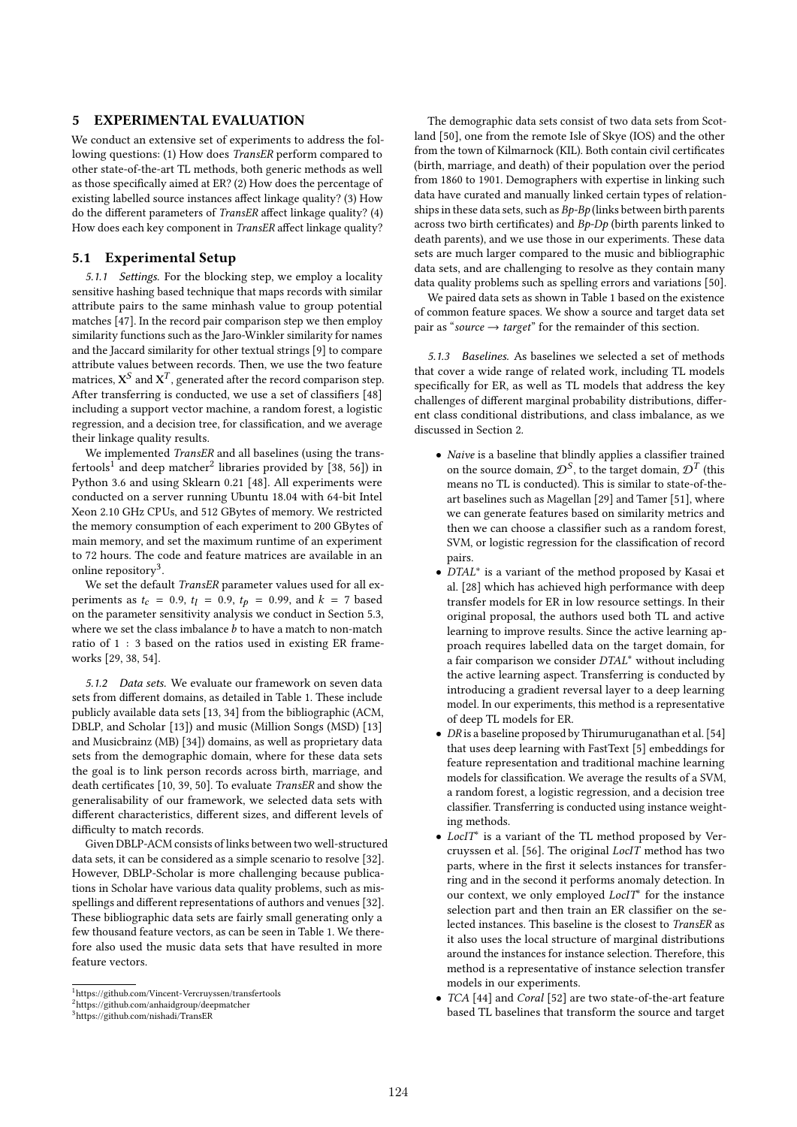### 5 EXPERIMENTAL EVALUATION

We conduct an extensive set of experiments to address the following questions: (1) How does TransER perform compared to other state-of-the-art TL methods, both generic methods as well as those specifically aimed at ER? (2) How does the percentage of existing labelled source instances affect linkage quality? (3) How do the different parameters of TransER affect linkage quality? (4) How does each key component in TransER affect linkage quality?

### 5.1 Experimental Setup

5.1.1 Settings. For the blocking step, we employ a locality sensitive hashing based technique that maps records with similar attribute pairs to the same minhash value to group potential matches [47]. In the record pair comparison step we then employ similarity functions such as the Jaro-Winkler similarity for names and the Jaccard similarity for other textual strings [9] to compare attribute values between records. Then, we use the two feature matrices,  $\mathbf{X}^{S}$  and  $\mathbf{X}^{T}$ , generated after the record comparison step. After transferring is conducted, we use a set of classifiers [48] including a support vector machine, a random forest, a logistic regression, and a decision tree, for classification, and we average their linkage quality results.

We implemented TransER and all baselines (using the transfertools $^1$  and deep matcher $^2$  libraries provided by [38, 56]) in Python 3.6 and using Sklearn 0.21 [48]. All experiments were conducted on a server running Ubuntu 18.04 with 64-bit Intel Xeon 2.10 GHz CPUs, and 512 GBytes of memory. We restricted the memory consumption of each experiment to 200 GBytes of main memory, and set the maximum runtime of an experiment to 72 hours. The code and feature matrices are available in an online repository<sup>3</sup>.

We set the default TransER parameter values used for all experiments as  $t_c = 0.9$ ,  $t_l = 0.9$ ,  $t_p = 0.99$ , and  $k = 7$  based on the parameter sensitivity analysis we conduct in Section 5.3, where we set the class imbalance  $b$  to have a match to non-match ratio of 1 : 3 based on the ratios used in existing ER frameworks [29, 38, 54].

5.1.2 Data sets. We evaluate our framework on seven data sets from different domains, as detailed in Table 1. These include publicly available data sets [13, 34] from the bibliographic (ACM, DBLP, and Scholar [13]) and music (Million Songs (MSD) [13] and Musicbrainz (MB) [34]) domains, as well as proprietary data sets from the demographic domain, where for these data sets the goal is to link person records across birth, marriage, and death certificates [10, 39, 50]. To evaluate TransER and show the generalisability of our framework, we selected data sets with different characteristics, different sizes, and different levels of difficulty to match records.

Given DBLP-ACM consists of links between two well-structured data sets, it can be considered as a simple scenario to resolve [32]. However, DBLP-Scholar is more challenging because publications in Scholar have various data quality problems, such as misspellings and different representations of authors and venues [32]. These bibliographic data sets are fairly small generating only a few thousand feature vectors, as can be seen in Table 1. We therefore also used the music data sets that have resulted in more feature vectors.

The demographic data sets consist of two data sets from Scotland [50], one from the remote Isle of Skye (IOS) and the other from the town of Kilmarnock (KIL). Both contain civil certificates (birth, marriage, and death) of their population over the period from 1860 to 1901. Demographers with expertise in linking such data have curated and manually linked certain types of relationships in these data sets, such as  $Bp$ - $Bp$  (links between birth parents across two birth certificates) and Bp-Dp (birth parents linked to death parents), and we use those in our experiments. These data sets are much larger compared to the music and bibliographic data sets, and are challenging to resolve as they contain many data quality problems such as spelling errors and variations [50].

We paired data sets as shown in Table 1 based on the existence of common feature spaces. We show a source and target data set pair as "source  $\rightarrow$  target" for the remainder of this section.

5.1.3 Baselines. As baselines we selected a set of methods that cover a wide range of related work, including TL models specifically for ER, as well as TL models that address the key challenges of different marginal probability distributions, different class conditional distributions, and class imbalance, as we discussed in Section 2.

- Naive is a baseline that blindly applies a classifier trained on the source domain,  $\mathcal{D}^S$ , to the target domain,  $\mathcal{D}^T$  (this means no TL is conducted). This is similar to state-of-theart baselines such as Magellan [29] and Tamer [51], where we can generate features based on similarity metrics and then we can choose a classifier such as a random forest, SVM, or logistic regression for the classification of record pairs.
- DTAL<sup>∗</sup> is a variant of the method proposed by Kasai et al. [28] which has achieved high performance with deep transfer models for ER in low resource settings. In their original proposal, the authors used both TL and active learning to improve results. Since the active learning approach requires labelled data on the target domain, for a fair comparison we consider DTAL<sup>∗</sup> without including the active learning aspect. Transferring is conducted by introducing a gradient reversal layer to a deep learning model. In our experiments, this method is a representative of deep TL models for ER.
- DR is a baseline proposed by Thirumuruganathan et al. [54] that uses deep learning with FastText [5] embeddings for feature representation and traditional machine learning models for classification. We average the results of a SVM, a random forest, a logistic regression, and a decision tree classifier. Transferring is conducted using instance weighting methods.
- LocIT<sup>∗</sup> is a variant of the TL method proposed by Vercruyssen et al. [56]. The original LocIT method has two parts, where in the first it selects instances for transferring and in the second it performs anomaly detection. In our context, we only employed LocIT<sup>\*</sup> for the instance selection part and then train an ER classifier on the selected instances. This baseline is the closest to TransER as it also uses the local structure of marginal distributions around the instances for instance selection. Therefore, this method is a representative of instance selection transfer models in our experiments.
- TCA [44] and Coral [52] are two state-of-the-art feature based TL baselines that transform the source and target

<sup>1</sup>https://github.com/Vincent-Vercruyssen/transfertools

<sup>2</sup>https://github.com/anhaidgroup/deepmatcher

<sup>3</sup>https://github.com/nishadi/TransER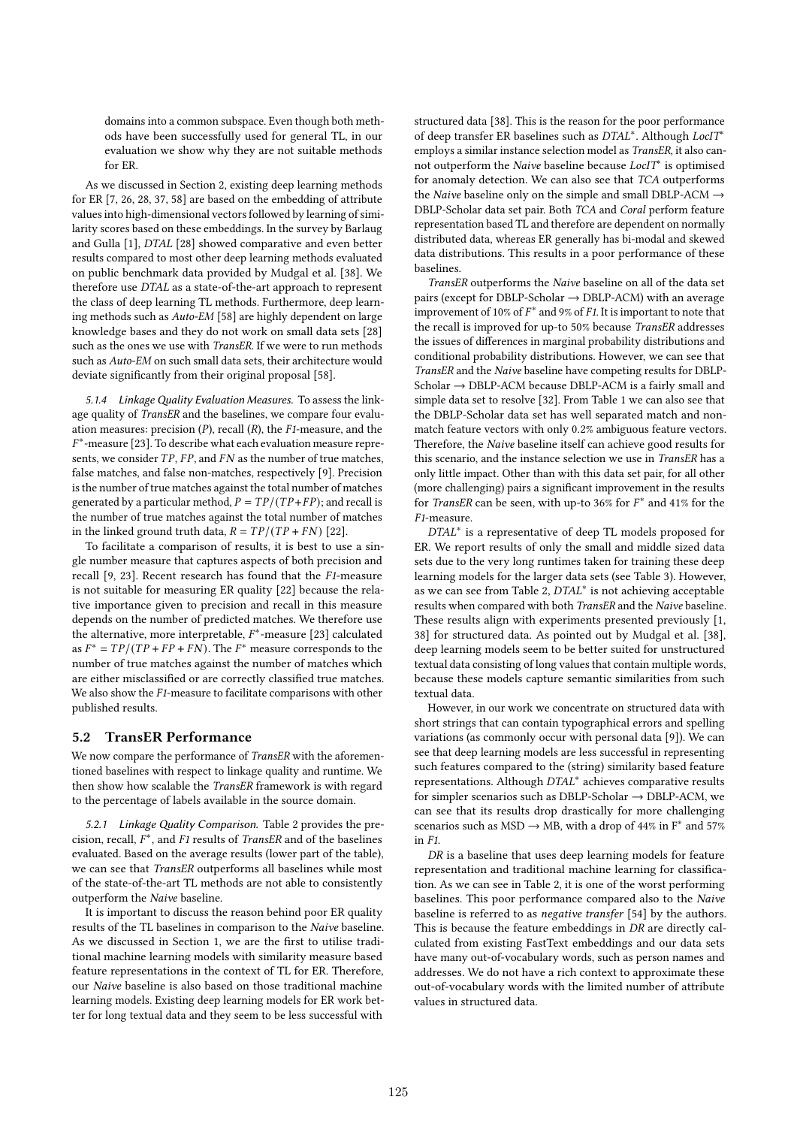domains into a common subspace. Even though both methods have been successfully used for general TL, in our evaluation we show why they are not suitable methods for ER.

As we discussed in Section 2, existing deep learning methods for ER [7, 26, 28, 37, 58] are based on the embedding of attribute values into high-dimensional vectors followed by learning of similarity scores based on these embeddings. In the survey by Barlaug and Gulla [1], DTAL [28] showed comparative and even better results compared to most other deep learning methods evaluated on public benchmark data provided by Mudgal et al. [38]. We therefore use DTAL as a state-of-the-art approach to represent the class of deep learning TL methods. Furthermore, deep learning methods such as Auto-EM [58] are highly dependent on large knowledge bases and they do not work on small data sets [28] such as the ones we use with TransER. If we were to run methods such as Auto-EM on such small data sets, their architecture would deviate significantly from their original proposal [58].

5.1.4 Linkage Quality Evaluation Measures. To assess the linkage quality of TransER and the baselines, we compare four evaluation measures: precision  $(P)$ , recall  $(R)$ , the F1-measure, and the  $F^*$ -measure [23]. To describe what each evaluation measure represents, we consider  $TP$ ,  $FP$ , and  $FN$  as the number of true matches, false matches, and false non-matches, respectively [9]. Precision is the number of true matches against the total number of matches generated by a particular method,  $P = TP/(TP + FP)$ ; and recall is the number of true matches against the total number of matches in the linked ground truth data,  $R = TP/(TP + FN)$  [22].

To facilitate a comparison of results, it is best to use a single number measure that captures aspects of both precision and recall [9, 23]. Recent research has found that the F1-measure is not suitable for measuring ER quality [22] because the relative importance given to precision and recall in this measure depends on the number of predicted matches. We therefore use the alternative, more interpretable,  $F^*$ -measure [23] calculated as  $F^* = TP/(TP + FP + FN)$ . The  $F^*$  measure corresponds to the number of true matches against the number of matches which are either misclassified or are correctly classified true matches. We also show the F1-measure to facilitate comparisons with other published results.

#### 5.2 TransER Performance

We now compare the performance of TransER with the aforementioned baselines with respect to linkage quality and runtime. We then show how scalable the TransER framework is with regard to the percentage of labels available in the source domain.

5.2.1 Linkage Quality Comparison. Table 2 provides the precision, recall,  $F^*$ , and F1 results of TransER and of the baselines evaluated. Based on the average results (lower part of the table), we can see that TransER outperforms all baselines while most of the state-of-the-art TL methods are not able to consistently outperform the Naive baseline.

It is important to discuss the reason behind poor ER quality results of the TL baselines in comparison to the Naive baseline. As we discussed in Section 1, we are the first to utilise traditional machine learning models with similarity measure based feature representations in the context of TL for ER. Therefore, our Naive baseline is also based on those traditional machine learning models. Existing deep learning models for ER work better for long textual data and they seem to be less successful with

structured data [38]. This is the reason for the poor performance of deep transfer ER baselines such as DTAL<sup>∗</sup> . Although LocIT<sup>∗</sup> employs a similar instance selection model as TransER, it also cannot outperform the Naive baseline because LocIT<sup>∗</sup> is optimised for anomaly detection. We can also see that TCA outperforms the Naive baseline only on the simple and small DBLP-ACM  $\rightarrow$ DBLP-Scholar data set pair. Both TCA and Coral perform feature representation based TL and therefore are dependent on normally distributed data, whereas ER generally has bi-modal and skewed data distributions. This results in a poor performance of these baselines.

TransER outperforms the Naive baseline on all of the data set pairs (except for DBLP-Scholar  $\rightarrow$  DBLP-ACM) with an average improvement of 10% of  $F^*$  and 9% of F1. It is important to note that the recall is improved for up-to 50% because TransER addresses the issues of differences in marginal probability distributions and conditional probability distributions. However, we can see that TransER and the Naive baseline have competing results for DBLP-Scholar → DBLP-ACM because DBLP-ACM is a fairly small and simple data set to resolve [32]. From Table 1 we can also see that the DBLP-Scholar data set has well separated match and nonmatch feature vectors with only 0.2% ambiguous feature vectors. Therefore, the Naive baseline itself can achieve good results for this scenario, and the instance selection we use in TransER has a only little impact. Other than with this data set pair, for all other (more challenging) pairs a significant improvement in the results for TransER can be seen, with up-to 36% for  $F^*$  and 41% for the F1-measure.

DTAL<sup>\*</sup> is a representative of deep TL models proposed for ER. We report results of only the small and middle sized data sets due to the very long runtimes taken for training these deep learning models for the larger data sets (see Table 3). However, as we can see from Table 2, DTAL<sup>∗</sup> is not achieving acceptable results when compared with both TransER and the Naive baseline. These results align with experiments presented previously [1, 38] for structured data. As pointed out by Mudgal et al. [38], deep learning models seem to be better suited for unstructured textual data consisting of long values that contain multiple words, because these models capture semantic similarities from such textual data.

However, in our work we concentrate on structured data with short strings that can contain typographical errors and spelling variations (as commonly occur with personal data [9]). We can see that deep learning models are less successful in representing such features compared to the (string) similarity based feature representations. Although DTAL<sup>∗</sup> achieves comparative results for simpler scenarios such as DBLP-Scholar → DBLP-ACM, we can see that its results drop drastically for more challenging scenarios such as MSD  $\rightarrow$  MB, with a drop of 44% in F<sup>\*</sup> and 57% in F1.

DR is a baseline that uses deep learning models for feature representation and traditional machine learning for classification. As we can see in Table 2, it is one of the worst performing baselines. This poor performance compared also to the Naive baseline is referred to as negative transfer [54] by the authors. This is because the feature embeddings in DR are directly calculated from existing FastText embeddings and our data sets have many out-of-vocabulary words, such as person names and addresses. We do not have a rich context to approximate these out-of-vocabulary words with the limited number of attribute values in structured data.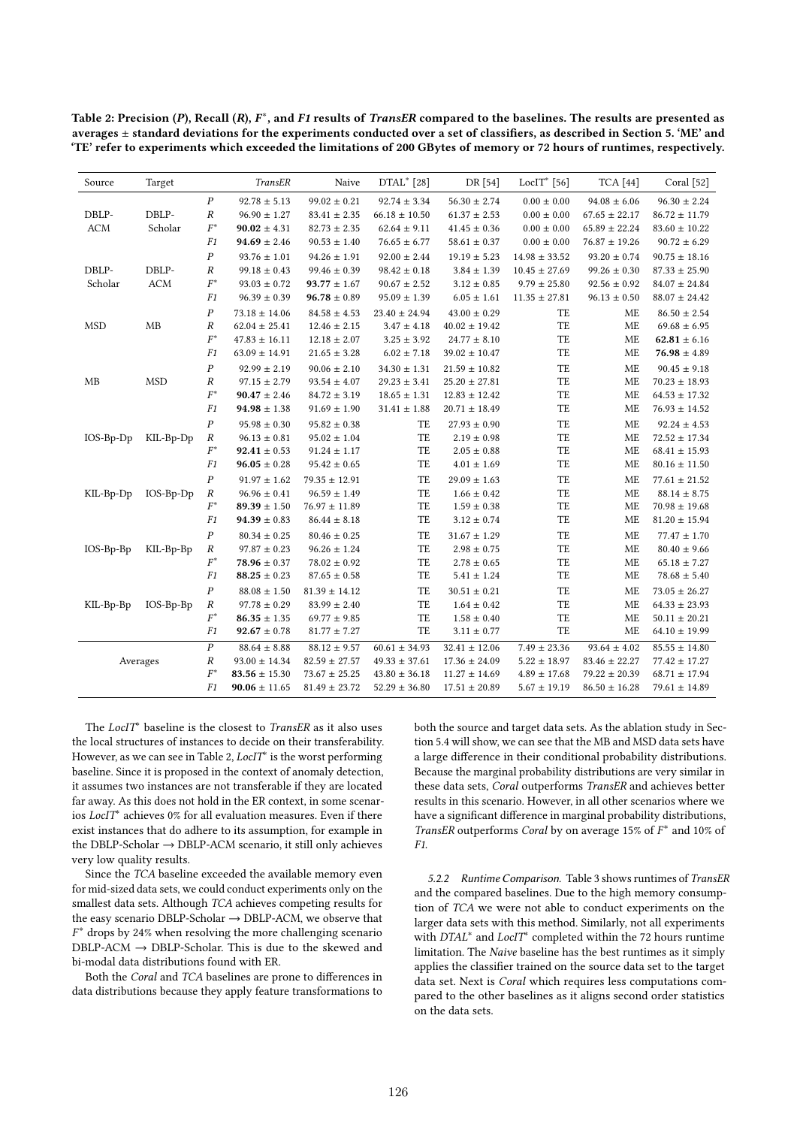Table 2: Precision (P), Recall (R),  $F^*$ , and F1 results of TransER compared to the baselines. The results are presented as averages  $\pm$  standard deviations for the experiments conducted over a set of classifiers, as described in Section 5. 'ME' and 'TE' refer to experiments which exceeded the limitations of 200 GBytes of memory or 72 hours of runtimes, respectively.

| Source        | Target      |                  | TransER                 | Naive             | DTAL* [28]           | DR [54]           | LocIT* $[56]$     | <b>TCA</b> [44]   | Coral [52]        |
|---------------|-------------|------------------|-------------------------|-------------------|----------------------|-------------------|-------------------|-------------------|-------------------|
|               |             | $\cal P$         | $92.78 \pm 5.13$        | $99.02 \pm 0.21$  | $92.74 \pm 3.34$     | $56.30 \pm 2.74$  | $0.00 \pm 0.00$   | $94.08 \pm 6.06$  | $96.30 \pm 2.24$  |
| DBLP-         | DBLP-       | $\cal R$         | $96.90 \pm 1.27$        | $83.41 \pm 2.35$  | $66.18 \pm 10.50$    | $61.37 \pm 2.53$  | $0.00 \pm 0.00$   | $67.65 \pm 22.17$ | $86.72 \pm 11.79$ |
| <b>ACM</b>    | Scholar     | $\mathcal{F}^*$  | $90.02 \pm 4.31$        | $82.73 \pm 2.35$  | $62.64 \pm 9.11$     | $41.45 \pm 0.36$  | $0.00 \pm 0.00$   | $65.89 \pm 22.24$ | $83.60 \pm 10.22$ |
|               |             | F1               | $94.69 \pm 2.46$        | $90.53 \pm 1.40$  | $76.65 \pm 6.77$     | $58.61 \pm 0.37$  | $0.00 \pm 0.00$   | $76.87 \pm 19.26$ | $90.72 \pm 6.29$  |
|               |             | $\boldsymbol{P}$ | $93.76 \pm 1.01$        | $94.26 \pm 1.91$  | $92.00\pm2.44$       | $19.19 \pm 5.23$  | $14.98 \pm 33.52$ | $93.20 \pm 0.74$  | $90.75 \pm 18.16$ |
| DBLP-         | DBLP-       | $\cal R$         | $99.18 \pm 0.43$        | $99.46 \pm 0.39$  | $98.42\,\pm\,0.18$   | $3.84 \pm 1.39$   | $10.45 \pm 27.69$ | $99.26 \pm 0.30$  | $87.33 \pm 25.90$ |
| Scholar       | <b>ACM</b>  | $\mathcal{F}^*$  | $93.03 \pm 0.72$        | $93.77 \pm 1.67$  | $90.67$ $\pm$ $2.52$ | $3.12\pm0.85$     | $9.79 \pm 25.80$  | $92.56 \pm 0.92$  | $84.07 \pm 24.84$ |
|               |             | ${\it F1}$       | $96.39 \pm 0.39$        | $96.78 \pm 0.89$  | $95.09 \pm 1.39$     | $6.05 \pm 1.61$   | $11.35 \pm 27.81$ | $96.13 \pm 0.50$  | $88.07 \pm 24.42$ |
|               |             | $\cal P$         | $73.18 \pm 14.06$       | $84.58 \pm 4.53$  | $23.40 \pm 24.94$    | $43.00 \pm 0.29$  | TE                | <b>ME</b>         | $86.50 \pm 2.54$  |
| <b>MSD</b>    | MB          | $\cal R$         | $62.04 \pm 25.41$       | $12.46 \pm 2.15$  | $3.47 \pm 4.18$      | $40.02 \pm 19.42$ | TE                | ME                | $69.68 \pm 6.95$  |
|               |             | $F^*$            | $47.83\,\pm\,16.11$     | $12.18 \pm 2.07$  | $3.25 \pm 3.92$      | $24.77 \pm 8.10$  | TE                | <b>ME</b>         | $62.81 \pm 6.16$  |
|               |             | F1               | $63.09 \pm 14.91$       | $21.65 \pm 3.28$  | $6.02 \pm 7.18$      | $39.02 \pm 10.47$ | TE                | ME                | $76.98 \pm 4.89$  |
|               |             | $\cal P$         | $92.99 \pm 2.19$        | $90.06 \pm 2.10$  | $34.30 \pm 1.31$     | $21.59 \pm 10.82$ | TE                | <b>ME</b>         | $90.45 \pm 9.18$  |
| $\mathbf{MB}$ | <b>MSD</b>  | $\cal R$         | $97.15 \pm 2.79$        | $93.54 \pm 4.07$  | $29.23 \pm 3.41$     | $25.20 \pm 27.81$ | TE                | <b>ME</b>         | $70.23 \pm 18.93$ |
|               |             | $F^*$            | $90.47 \pm 2.46$        | $84.72 \pm 3.19$  | $18.65 \pm 1.31$     | $12.83 \pm 12.42$ | TE                | ME                | $64.53 \pm 17.32$ |
|               |             | F1               | $94.98 \pm 1.38$        | $91.69 \pm 1.90$  | $31.41 \pm 1.88$     | $20.71 \pm 18.49$ | TE                | ME                | $76.93 \pm 14.52$ |
|               |             | $\boldsymbol{P}$ | $95.98\,\pm\,0.30$      | $95.82 \pm 0.38$  | TE                   | $27.93\pm0.90$    | TE                | ME                | $92.24 \pm 4.53$  |
| $IOS-Bp-Dp$   | KIL-Bp-Dp   | $\cal R$         | $96.13 \pm 0.81$        | $95.02 \pm 1.04$  | TE                   | $2.19 \pm 0.98$   | TE                | <b>ME</b>         | $72.52 \pm 17.34$ |
|               |             | $F^*$            | $92.41 \pm 0.53$        | $91.24 \pm 1.17$  | TE                   | $2.05 \pm 0.88$   | TE                | ME                | $68.41 \pm 15.93$ |
|               |             | F1               | $96.05 \pm 0.28$        | $95.42 \pm 0.65$  | TE                   | $4.01 \pm 1.69$   | TE                | ME                | $80.16 \pm 11.50$ |
|               |             | $\boldsymbol{P}$ | $91.97 \pm 1.62$        | $79.35\pm12.91$   | TE                   | $29.09 \pm 1.63$  | TE                | ME                | $77.61 \pm 21.52$ |
| KIL-Bp-Dp     | $IOS-Bp-Dp$ | $\cal R$         | $96.96 \pm 0.41$        | $96.59 \pm 1.49$  | TE                   | $1.66 \pm 0.42$   | TE                | ME                | $88.14 \pm 8.75$  |
|               |             | $F^*$            | $89.39 \pm 1.50$        | $76.97 \pm 11.89$ | TE                   | $1.59 \pm 0.38$   | TE                | <b>ME</b>         | $70.98 \pm 19.68$ |
|               |             | F1               | $94.39 \pm 0.83$        | $86.44 \pm 8.18$  | TE                   | $3.12 \pm 0.74$   | TE                | ME                | $81.20 \pm 15.94$ |
|               |             | $\boldsymbol{P}$ | $80.34\,\pm\,0.25$      | $80.46 \pm 0.25$  | TE                   | $31.67 \pm 1.29$  | TE                | ME                | $77.47 \pm 1.70$  |
| IOS-Bp-Bp     | KIL-Bp-Bp   | $\cal R$         | $97.87 \pm 0.23$        | $96.26 \pm 1.24$  | TE                   | $2.98 \pm 0.75$   | TE                | ME                | $80.40 \pm 9.66$  |
|               |             | $F^*$            | $78.96 \pm 0.37$        | $78.02 \pm 0.92$  | TE                   | $2.78 \pm 0.65$   | TE                | ME                | $65.18 \pm 7.27$  |
|               |             | F1               | $88.25 \pm 0.23$        | $87.65 \pm 0.58$  | TE                   | $5.41 \pm 1.24$   | TE                | ME                | $78.68 \pm 5.40$  |
|               |             | $\boldsymbol{P}$ | $88.08 \pm 1.50$        | $81.39 \pm 14.12$ | TE                   | $30.51 \pm 0.21$  | TE                | <b>ME</b>         | $73.05 \pm 26.27$ |
| KIL-Bp-Bp     | $IOS-Bp-Bp$ | $\cal R$         | $97.78 \pm 0.29$        | $83.99 \pm 2.40$  | TE                   | $1.64 \pm 0.42$   | TE                | <b>ME</b>         | $64.33 \pm 23.93$ |
|               |             | $F^*$            | $86.35 \pm 1.35$        | $69.77 \pm 9.85$  | TE                   | $1.58 \pm 0.40$   | TE                | <b>ME</b>         | $50.11 \pm 20.21$ |
|               |             | F1               | $\textbf{92.67}\pm0.78$ | $81.77 \pm 7.27$  | TE                   | $3.11 \pm 0.77$   | TE                | ME                | $64.10 \pm 19.99$ |
|               |             | $\overline{P}$   | $88.64 \pm 8.88$        | $88.12 \pm 9.57$  | $60.61 \pm 34.93$    | $32.41 \pm 12.06$ | $7.49 \pm 23.36$  | $93.64 \pm 4.02$  | $85.55 \pm 14.80$ |
|               | Averages    | $\cal R$         | $93.00 \pm 14.34$       | $82.59 \pm 27.57$ | $49.33 \pm 37.61$    | $17.36 \pm 24.09$ | $5.22 \pm 18.97$  | $83.46 \pm 22.27$ | $77.42 \pm 17.27$ |
|               |             | $F^*$            | $83.56 \pm 15.30$       | $73.67 \pm 25.25$ | $43.80 \pm 36.18$    | $11.27 \pm 14.69$ | $4.89 \pm 17.68$  | $79.22 \pm 20.39$ | $68.71 \pm 17.94$ |
|               |             | F1               | $90.06 \pm 11.65$       | $81.49 \pm 23.72$ | $52.29 \pm 36.80$    | $17.51 \pm 20.89$ | $5.67 \pm 19.19$  | $86.50 \pm 16.28$ | $79.61 \pm 14.89$ |

The LocIT<sup>\*</sup> baseline is the closest to TransER as it also uses the local structures of instances to decide on their transferability. However, as we can see in Table 2, LocIT<sup>∗</sup> is the worst performing baseline. Since it is proposed in the context of anomaly detection, it assumes two instances are not transferable if they are located far away. As this does not hold in the ER context, in some scenarios  $LocIT^*$  achieves 0% for all evaluation measures. Even if there exist instances that do adhere to its assumption, for example in the DBLP-Scholar → DBLP-ACM scenario, it still only achieves very low quality results.

Since the TCA baseline exceeded the available memory even for mid-sized data sets, we could conduct experiments only on the smallest data sets. Although TCA achieves competing results for the easy scenario DBLP-Scholar  $\rightarrow$  DBLP-ACM, we observe that  $F^*$  drops by 24% when resolving the more challenging scenario  $DBLP-ACM \rightarrow DBLP-Scholar$ . This is due to the skewed and bi-modal data distributions found with ER.

Both the Coral and TCA baselines are prone to differences in data distributions because they apply feature transformations to both the source and target data sets. As the ablation study in Section 5.4 will show, we can see that the MB and MSD data sets have a large difference in their conditional probability distributions. Because the marginal probability distributions are very similar in these data sets, Coral outperforms TransER and achieves better results in this scenario. However, in all other scenarios where we have a significant difference in marginal probability distributions, TransER outperforms Coral by on average 15% of  $F^*$  and 10% of F1.

5.2.2 Runtime Comparison. Table 3 shows runtimes of TransER and the compared baselines. Due to the high memory consumption of TCA we were not able to conduct experiments on the larger data sets with this method. Similarly, not all experiments with  $DTAL^*$  and  $LocIT^*$  completed within the 72 hours runtime limitation. The Naive baseline has the best runtimes as it simply applies the classifier trained on the source data set to the target data set. Next is Coral which requires less computations compared to the other baselines as it aligns second order statistics on the data sets.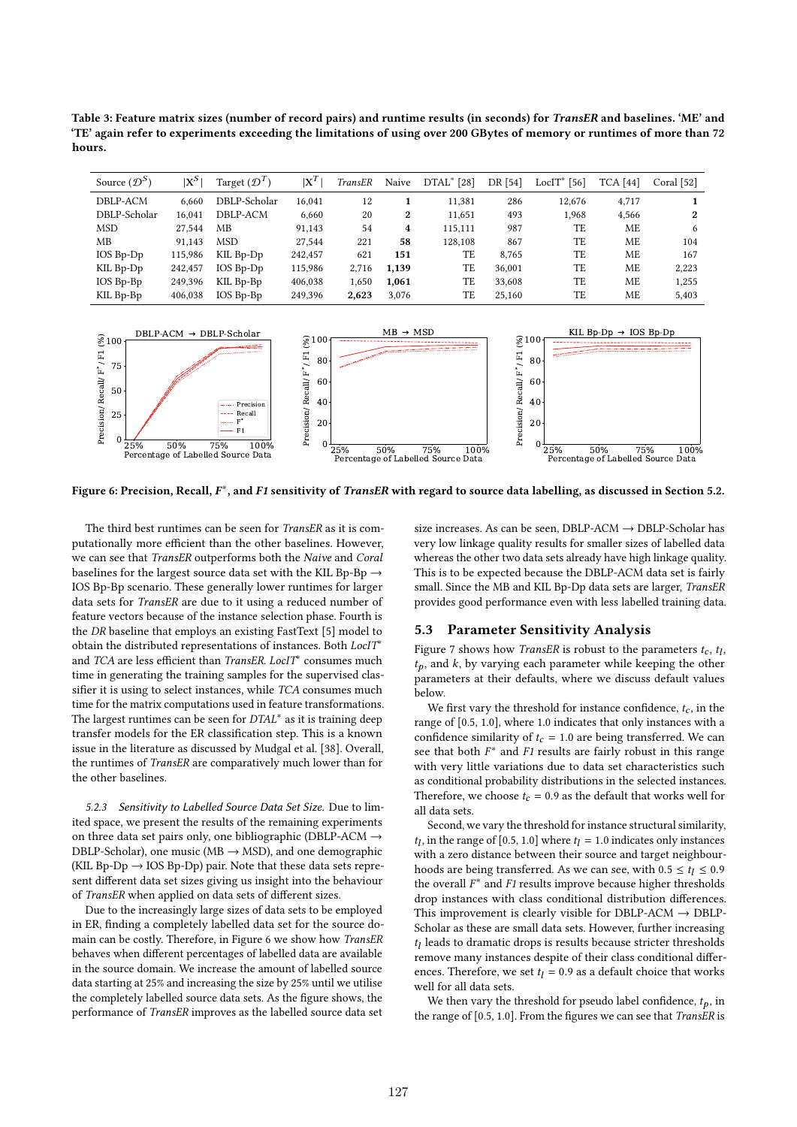Table 3: Feature matrix sizes (number of record pairs) and runtime results (in seconds) for TransER and baselines. 'ME' and 'TE' again refer to experiments exceeding the limitations of using over 200 GBytes of memory or runtimes of more than 72 hours.

| Source $(D^S)$ | $\mathrm{x}^{\mathrm{s}}$ | Target $(\mathcal{D}^T)$ | $X^I$   | TransER | Naive | $DTAL^{\ast}$ [28] | DR [54] | $_{\rm LocIT^{*}}$<br>[56] | <b>TCA</b> [44] | Coral [52] |
|----------------|---------------------------|--------------------------|---------|---------|-------|--------------------|---------|----------------------------|-----------------|------------|
| DBLP-ACM       | 6.660                     | DBLP-Scholar             | 16.041  | 12      |       | 11.381             | 286     | 12.676                     | 4.717           |            |
| DBLP-Scholar   | 16.041                    | DBLP-ACM                 | 6,660   | 20      | 2     | 11,651             | 493     | 1,968                      | 4,566           | 2          |
| <b>MSD</b>     | 27.544                    | MВ                       | 91,143  | 54      | 4     | 115.111            | 987     | TE                         | ME              | 6          |
| MВ             | 91.143                    | <b>MSD</b>               | 27,544  | 221     | 58    | 128.108            | 867     | TE                         | ME              | 104        |
| $IOS$ $Bp-Dp$  | 115.986                   | KIL Bp-Dp                | 242,457 | 621     | 151   | TE                 | 8.765   | TE                         | ME              | 167        |
| KIL Bp-Dp      | 242,457                   | $IOS$ $Bp-Dp$            | 115,986 | 2,716   | 1,139 | TE                 | 36.001  | TE                         | ME              | 2,223      |
| IOS Bp-Bp      | 249.396                   | KIL Bp-Bp                | 406,038 | 1,650   | 1.061 | TE                 | 33,608  | TE                         | ME              | 1.255      |
| KIL Bp-Bp      | 406,038                   | IOS Bp-Bp                | 249,396 | 2.623   | 3.076 | TE                 | 25.160  | TE                         | ME              | 5.403      |



Figure 6: Precision, Recall,  $F^*$ , and F1 sensitivity of *TransER* with regard to source data labelling, as discussed in Section 5.2.

The third best runtimes can be seen for TransER as it is computationally more efficient than the other baselines. However, we can see that TransER outperforms both the Naive and Coral baselines for the largest source data set with the KIL Bp-Bp  $\rightarrow$ IOS Bp-Bp scenario. These generally lower runtimes for larger data sets for TransER are due to it using a reduced number of feature vectors because of the instance selection phase. Fourth is the DR baseline that employs an existing FastText [5] model to obtain the distributed representations of instances. Both LocIT<sup>∗</sup> and *TCA* are less efficient than *TransER*. LocIT<sup>\*</sup> consumes much time in generating the training samples for the supervised classifier it is using to select instances, while TCA consumes much time for the matrix computations used in feature transformations. The largest runtimes can be seen for DTAL<sup>\*</sup> as it is training deep transfer models for the ER classification step. This is a known issue in the literature as discussed by Mudgal et al. [38]. Overall, the runtimes of TransER are comparatively much lower than for the other baselines.

5.2.3 Sensitivity to Labelled Source Data Set Size. Due to limited space, we present the results of the remaining experiments on three data set pairs only, one bibliographic (DBLP-ACM → DBLP-Scholar), one music ( $MB \rightarrow MSD$ ), and one demographic (KIL Bp-Dp  $\rightarrow$  IOS Bp-Dp) pair. Note that these data sets represent different data set sizes giving us insight into the behaviour of TransER when applied on data sets of different sizes.

Due to the increasingly large sizes of data sets to be employed in ER, finding a completely labelled data set for the source domain can be costly. Therefore, in Figure 6 we show how TransER behaves when different percentages of labelled data are available in the source domain. We increase the amount of labelled source data starting at 25% and increasing the size by 25% until we utilise the completely labelled source data sets. As the figure shows, the performance of TransER improves as the labelled source data set

size increases. As can be seen, DBLP-ACM → DBLP-Scholar has very low linkage quality results for smaller sizes of labelled data whereas the other two data sets already have high linkage quality. This is to be expected because the DBLP-ACM data set is fairly small. Since the MB and KIL Bp-Dp data sets are larger, TransER provides good performance even with less labelled training data.

### 5.3 Parameter Sensitivity Analysis

Figure 7 shows how *TransER* is robust to the parameters  $t_c$ ,  $t_l$ ,  $t_p$ , and  $k$ , by varying each parameter while keeping the other parameters at their defaults, where we discuss default values below.

We first vary the threshold for instance confidence,  $t_c$ , in the range of [0.5, 1.0], where 1.0 indicates that only instances with a confidence similarity of  $t_c = 1.0$  are being transferred. We can see that both  $F^*$  and  $F1$  results are fairly robust in this range with very little variations due to data set characteristics such as conditional probability distributions in the selected instances. Therefore, we choose  $t_c = 0.9$  as the default that works well for all data sets.

Second, we vary the threshold for instance structural similarity,  $t_l$ , in the range of [0.5, 1.0] where  $t_l = 1.0$  indicates only instances with a zero distance between their source and target neighbourhoods are being transferred. As we can see, with  $0.5 \le t_l \le 0.9$ the overall  $F^*$  and  $F1$  results improve because higher thresholds drop instances with class conditional distribution differences. This improvement is clearly visible for DBLP-ACM  $\rightarrow$  DBLP-Scholar as these are small data sets. However, further increasing  $t_l$  leads to dramatic drops is results because stricter thresholds remove many instances despite of their class conditional differences. Therefore, we set  $t<sub>l</sub> = 0.9$  as a default choice that works well for all data sets.

We then vary the threshold for pseudo label confidence,  $t_p$ , in the range of [0.5, 1.0]. From the figures we can see that TransER is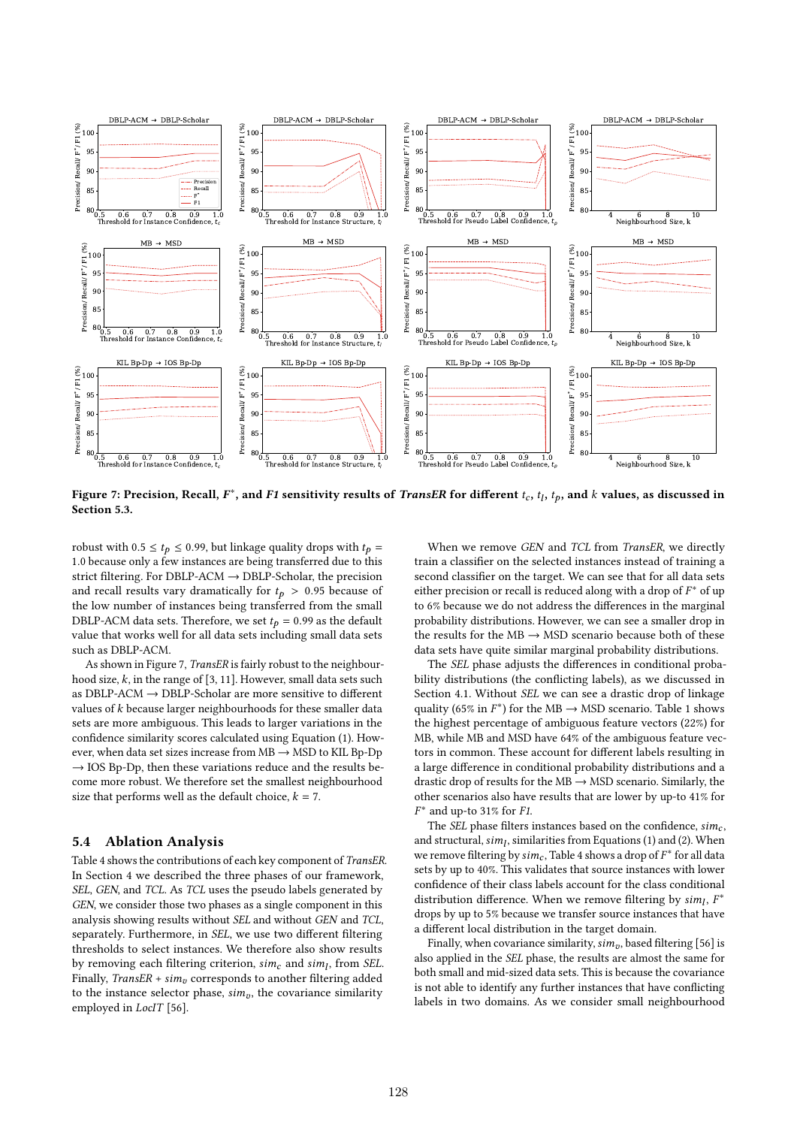

Figure 7: Precision, Recall,  $F^*$ , and F1 sensitivity results of *TransER* for different  $t_c$ ,  $t_l$ ,  $t_p$ , and  $k$  values, as discussed in Section 5.3.

robust with 0.5  $\le t_p \le$  0.99, but linkage quality drops with  $t_p =$ 1.0 because only a few instances are being transferred due to this strict filtering. For DBLP-ACM → DBLP-Scholar, the precision and recall results vary dramatically for  $t_p > 0.95$  because of the low number of instances being transferred from the small DBLP-ACM data sets. Therefore, we set  $t_p = 0.99$  as the default value that works well for all data sets including small data sets such as DBLP-ACM.

As shown in Figure 7, TransER is fairly robust to the neighbourhood size,  $k$ , in the range of [3, 11]. However, small data sets such as DBLP-ACM  $\rightarrow$  DBLP-Scholar are more sensitive to different values of  $k$  because larger neighbourhoods for these smaller data sets are more ambiguous. This leads to larger variations in the confidence similarity scores calculated using Equation (1). However, when data set sizes increase from  $MB \rightarrow MSD$  to KIL Bp-Dp  $\rightarrow$  IOS Bp-Dp, then these variations reduce and the results become more robust. We therefore set the smallest neighbourhood size that performs well as the default choice,  $k = 7$ .

# 5.4 Ablation Analysis

Table 4 shows the contributions of each key component of TransER. In Section 4 we described the three phases of our framework, SEL, GEN, and TCL. As TCL uses the pseudo labels generated by GEN, we consider those two phases as a single component in this analysis showing results without SEL and without GEN and TCL, separately. Furthermore, in SEL, we use two different filtering thresholds to select instances. We therefore also show results by removing each filtering criterion,  $sim_c$  and  $sim_l$ , from SEL. Finally, TransER +  $sim_v$  corresponds to another filtering added to the instance selector phase,  $sim<sub>v</sub>$ , the covariance similarity employed in LocIT [56].

When we remove GEN and TCL from TransER, we directly train a classifier on the selected instances instead of training a second classifier on the target. We can see that for all data sets either precision or recall is reduced along with a drop of  $F^*$  of up to 6% because we do not address the differences in the marginal probability distributions. However, we can see a smaller drop in the results for the  $MB \rightarrow MSD$  scenario because both of these data sets have quite similar marginal probability distributions.

The SEL phase adjusts the differences in conditional probability distributions (the conflicting labels), as we discussed in Section 4.1. Without SEL we can see a drastic drop of linkage quality (65% in  $F^*$ ) for the MB  $\rightarrow$  MSD scenario. Table 1 shows the highest percentage of ambiguous feature vectors (22%) for MB, while MB and MSD have 64% of the ambiguous feature vectors in common. These account for different labels resulting in a large difference in conditional probability distributions and a drastic drop of results for the  $MB \rightarrow MSD$  scenario. Similarly, the other scenarios also have results that are lower by up-to 41% for  $F^*$  and up-to 31% for F1.

The SEL phase filters instances based on the confidence,  $sim_c$ , and structural,  $sim<sub>l</sub>$ , similarities from Equations (1) and (2). When we remove filtering by  $\mathit{sim}_c$ , Table 4 shows a drop of  $F^*$  for all data sets by up to 40%. This validates that source instances with lower confidence of their class labels account for the class conditional distribution difference. When we remove filtering by  $sim_l$ ,  $F^*$ drops by up to 5% because we transfer source instances that have a different local distribution in the target domain.

Finally, when covariance similarity,  $sim_v$ , based filtering [56] is also applied in the SEL phase, the results are almost the same for both small and mid-sized data sets. This is because the covariance is not able to identify any further instances that have conflicting labels in two domains. As we consider small neighbourhood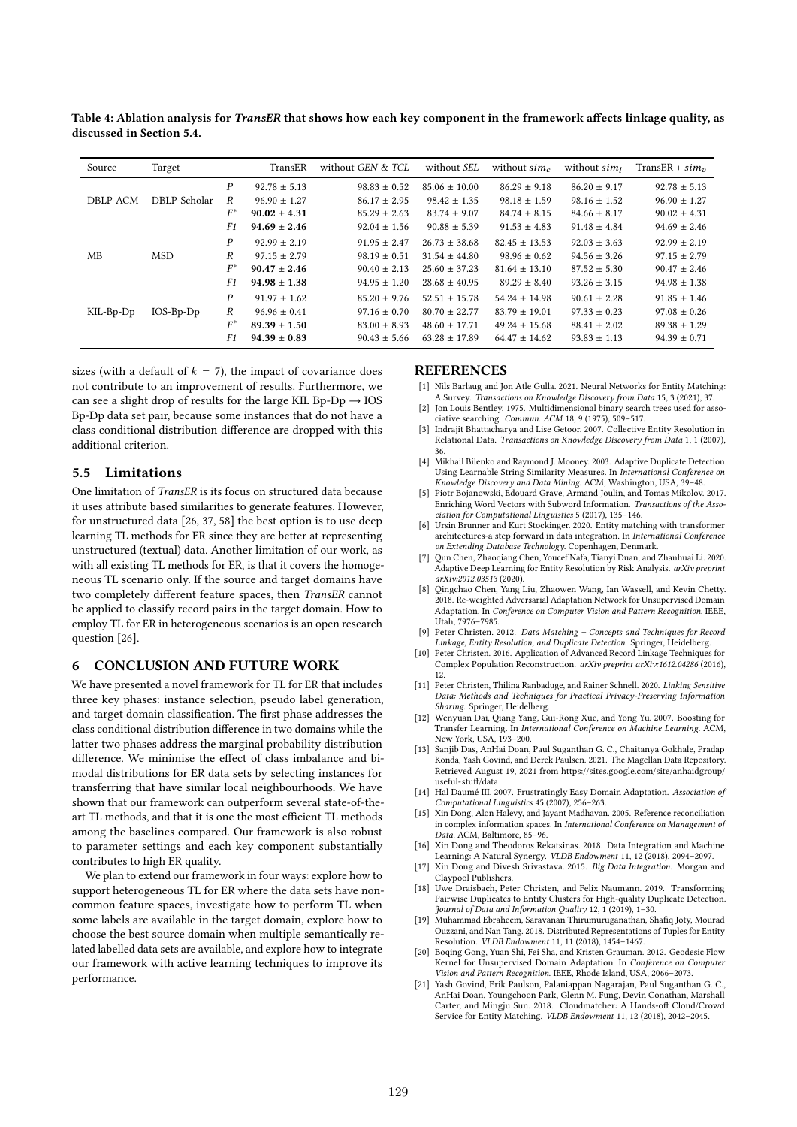Table 4: Ablation analysis for TransER that shows how each key component in the framework affects linkage quality, as discussed in Section 5.4.

| Source      | Target       |       | TransER          | without GEN & TCL | without SEL       | without $sim_c$   | without $sim1$   | TransER + $sim_n$ |
|-------------|--------------|-------|------------------|-------------------|-------------------|-------------------|------------------|-------------------|
|             |              | P     | $92.78 \pm 5.13$ | $98.83 \pm 0.52$  | $85.06 \pm 10.00$ | $86.29 \pm 9.18$  | $86.20 \pm 9.17$ | $92.78 \pm 5.13$  |
| DBLP-ACM    | DBLP-Scholar | R     | $96.90 \pm 1.27$ | $86.17 \pm 2.95$  | $98.42 \pm 1.35$  | $98.18 \pm 1.59$  | $98.16 \pm 1.52$ | $96.90 \pm 1.27$  |
|             |              | $F^*$ | $90.02 \pm 4.31$ | $85.29 \pm 2.63$  | $83.74 \pm 9.07$  | $84.74 \pm 8.15$  | $84.66 \pm 8.17$ | $90.02 \pm 4.31$  |
|             |              | F1    | $94.69 \pm 2.46$ | $92.04 \pm 1.56$  | $90.88 \pm 5.39$  | $91.53 \pm 4.83$  | $91.48 \pm 4.84$ | $94.69 \pm 2.46$  |
|             |              | P     | $92.99 \pm 2.19$ | $91.95 \pm 2.47$  | $26.73 \pm 38.68$ | $82.45 \pm 13.53$ | $92.03 \pm 3.63$ | $92.99 \pm 2.19$  |
| MB          | <b>MSD</b>   | R     | $97.15 \pm 2.79$ | $98.19 \pm 0.51$  | $31.54 \pm 44.80$ | $98.96 \pm 0.62$  | $94.56 \pm 3.26$ | $97.15 \pm 2.79$  |
|             |              | $F^*$ | $90.47 \pm 2.46$ | $90.40 \pm 2.13$  | $25.60 \pm 37.23$ | $81.64 \pm 13.10$ | $87.52 \pm 5.30$ | $90.47 \pm 2.46$  |
|             |              | F1    | $94.98 \pm 1.38$ | $94.95 \pm 1.20$  | $28.68 \pm 40.95$ | $89.29 \pm 8.40$  | $93.26 \pm 3.15$ | $94.98 \pm 1.38$  |
|             |              | P     | $91.97 \pm 1.62$ | $85.20 \pm 9.76$  | $52.51 \pm 15.78$ | $54.24 + 14.98$   | $90.61 \pm 2.28$ | $91.85 \pm 1.46$  |
| $KIL-Bp-Dp$ | $IOS-Bp-Dp$  | R     | $96.96 \pm 0.41$ | $97.16 \pm 0.70$  | $80.70 \pm 22.77$ | $83.79 \pm 19.01$ | $97.33 \pm 0.23$ | $97.08 \pm 0.26$  |
|             |              | $F^*$ | $89.39 \pm 1.50$ | $83.00 \pm 8.93$  | $48.60 + 17.71$   | $49.24 \pm 15.68$ | $88.41 \pm 2.02$ | $89.38 \pm 1.29$  |
|             |              | F1    | $94.39 \pm 0.83$ | $90.43 \pm 5.66$  | $63.28 \pm 17.89$ | $64.47 \pm 14.62$ | $93.83 \pm 1.13$ | $94.39 \pm 0.71$  |

sizes (with a default of  $k = 7$ ), the impact of covariance does not contribute to an improvement of results. Furthermore, we can see a slight drop of results for the large KIL Bp-Dp  $\rightarrow$  IOS Bp-Dp data set pair, because some instances that do not have a class conditional distribution difference are dropped with this additional criterion.

# 5.5 Limitations

One limitation of TransER is its focus on structured data because it uses attribute based similarities to generate features. However, for unstructured data [26, 37, 58] the best option is to use deep learning TL methods for ER since they are better at representing unstructured (textual) data. Another limitation of our work, as with all existing TL methods for ER, is that it covers the homogeneous TL scenario only. If the source and target domains have two completely different feature spaces, then TransER cannot be applied to classify record pairs in the target domain. How to employ TL for ER in heterogeneous scenarios is an open research question [26].

# 6 CONCLUSION AND FUTURE WORK

We have presented a novel framework for TL for ER that includes three key phases: instance selection, pseudo label generation, and target domain classification. The first phase addresses the class conditional distribution difference in two domains while the latter two phases address the marginal probability distribution difference. We minimise the effect of class imbalance and bimodal distributions for ER data sets by selecting instances for transferring that have similar local neighbourhoods. We have shown that our framework can outperform several state-of-theart TL methods, and that it is one the most efficient TL methods among the baselines compared. Our framework is also robust to parameter settings and each key component substantially contributes to high ER quality.

We plan to extend our framework in four ways: explore how to support heterogeneous TL for ER where the data sets have noncommon feature spaces, investigate how to perform TL when some labels are available in the target domain, explore how to choose the best source domain when multiple semantically related labelled data sets are available, and explore how to integrate our framework with active learning techniques to improve its performance.

### REFERENCES

- [1] Nils Barlaug and Jon Atle Gulla. 2021. Neural Networks for Entity Matching: A Survey. Transactions on Knowledge Discovery from Data 15, 3 (2021), 37.
- Jon Louis Bentley. 1975. Multidimensional binary search trees used for associative searching. Commun. ACM 18, 9 (1975), 509–517.
- [3] Indrajit Bhattacharya and Lise Getoor. 2007. Collective Entity Resolution in Relational Data. Transactions on Knowledge Discovery from Data 1, 1 (2007),
- 36. [4] Mikhail Bilenko and Raymond J. Mooney. 2003. Adaptive Duplicate Detection Using Learnable String Similarity Measures. In International Conference on Knowledge Discovery and Data Mining. ACM, Washington, USA, 39–48.
- [5] Piotr Bojanowski, Edouard Grave, Armand Joulin, and Tomas Mikolov. 2017. Enriching Word Vectors with Subword Information. Transactions of the Association for Computational Linguistics 5 (2017), 135–146.
- Ursin Brunner and Kurt Stockinger. 2020. Entity matching with transformer architectures-a step forward in data integration. In International Conference on Extending Database Technology. Copenhagen, Denmark.
- [7] Qun Chen, Zhaoqiang Chen, Youcef Nafa, Tianyi Duan, and Zhanhuai Li. 2020. Adaptive Deep Learning for Entity Resolution by Risk Analysis. arXiv preprint arXiv:2012.03513 (2020).
- [8] Qingchao Chen, Yang Liu, Zhaowen Wang, Ian Wassell, and Kevin Chetty. 2018. Re-weighted Adversarial Adaptation Network for Unsupervised Domain Adaptation. In Conference on Computer Vision and Pattern Recognition. IEEE, Utah, 7976–7985.
- [9] Peter Christen. 2012. Data Matching Concepts and Techniques for Record Linkage, Entity Resolution, and Duplicate Detection. Springer, Heidelberg.
- [10] Peter Christen. 2016. Application of Advanced Record Linkage Techniques for Complex Population Reconstruction. arXiv preprint arXiv:1612.04286 (2016), 12.
- [11] Peter Christen, Thilina Ranbaduge, and Rainer Schnell. 2020. Linking Sensitive Data: Methods and Techniques for Practical Privacy-Preserving Information Sharing. Springer, Heidelberg.
- [12] Wenyuan Dai, Qiang Yang, Gui-Rong Xue, and Yong Yu. 2007. Boosting for Transfer Learning. In International Conference on Machine Learning. ACM, New York, USA, 193–200.
- [13] Sanjib Das, AnHai Doan, Paul Suganthan G. C., Chaitanya Gokhale, Pradap Konda, Yash Govind, and Derek Paulsen. 2021. The Magellan Data Repository. Retrieved August 19, 2021 from https://sites.google.com/site/anhaidgroup/ useful-stuff/data
- [14] Hal Daumé III. 2007. Frustratingly Easy Domain Adaptation. Association of Computational Linguistics 45 (2007), 256–263.
- [15] Xin Dong, Alon Halevy, and Jayant Madhavan. 2005. Reference reconciliation in complex information spaces. In International Conference on Management of Data. ACM, Baltimore, 85–96.
- [16] Xin Dong and Theodoros Rekatsinas, 2018. Data Integration and Machine Learning: A Natural Synergy. VLDB Endowment 11, 12 (2018), 2094–2097.
- [17] Xin Dong and Divesh Srivastava. 2015. Big Data Integration. Morgan and Claypool Publishers.
- [18] Uwe Draisbach, Peter Christen, and Felix Naumann. 2019. Transforming Pairwise Duplicates to Entity Clusters for High-quality Duplicate Detection. Journal of Data and Information Quality 12,  $1(2019)$ ,  $1-30$ .
- [19] Muhammad Ebraheem, Saravanan Thirumuruganathan, Shafiq Joty, Mourad Ouzzani, and Nan Tang. 2018. Distributed Representations of Tuples for Entity Resolution. VLDB Endowment 11, 11 (2018), 1454–1467.
- [20] Boqing Gong, Yuan Shi, Fei Sha, and Kristen Grauman. 2012. Geodesic Flow Kernel for Unsupervised Domain Adaptation. In Conference on Computer Vision and Pattern Recognition. IEEE, Rhode Island, USA, 2066–2073.
- [21] Yash Govind, Erik Paulson, Palaniappan Nagarajan, Paul Suganthan G. C. AnHai Doan, Youngchoon Park, Glenn M. Fung, Devin Conathan, Marshall Carter, and Mingju Sun. 2018. Cloudmatcher: A Hands-off Cloud/Crowd Service for Entity Matching. VLDB Endowment 11, 12 (2018), 2042–2045.